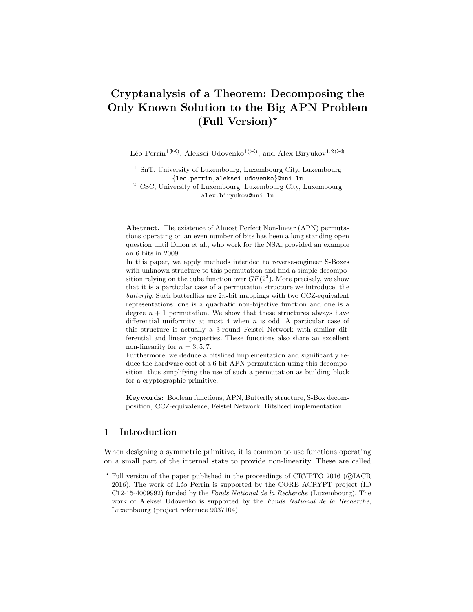# Cryptanalysis of a Theorem: Decomposing the Only Known Solution to the Big APN Problem (Full Version)<sup>\*</sup>

Léo Perrin<sup>1( $\boxtimes$ )</sup>, Aleksei Udovenko<sup>1</sup><sup>( $\boxtimes$ )</sup>, and Alex Biryukov<sup>1,2( $\boxtimes$ )</sup>

<sup>1</sup> SnT, University of Luxembourg, Luxembourg City, Luxembourg {leo.perrin,aleksei.udovenko}@uni.lu

<sup>2</sup> CSC, University of Luxembourg, Luxembourg City, Luxembourg alex.biryukov@uni.lu

Abstract. The existence of Almost Perfect Non-linear (APN) permutations operating on an even number of bits has been a long standing open question until Dillon et al., who work for the NSA, provided an example on 6 bits in 2009.

In this paper, we apply methods intended to reverse-engineer S-Boxes with unknown structure to this permutation and find a simple decomposition relying on the cube function over  $GF(2<sup>3</sup>)$ . More precisely, we show that it is a particular case of a permutation structure we introduce, the butterfly. Such butterflies are  $2n$ -bit mappings with two CCZ-equivalent representations: one is a quadratic non-bijective function and one is a degree  $n + 1$  permutation. We show that these structures always have differential uniformity at most 4 when  $n$  is odd. A particular case of this structure is actually a 3-round Feistel Network with similar differential and linear properties. These functions also share an excellent non-linearity for  $n = 3, 5, 7$ .

Furthermore, we deduce a bitsliced implementation and significantly reduce the hardware cost of a 6-bit APN permutation using this decomposition, thus simplifying the use of such a permutation as building block for a cryptographic primitive.

Keywords: Boolean functions, APN, Butterfly structure, S-Box decomposition, CCZ-equivalence, Feistel Network, Bitsliced implementation.

### 1 Introduction

When designing a symmetric primitive, it is common to use functions operating on a small part of the internal state to provide non-linearity. These are called

Full version of the paper published in the proceedings of CRYPTO 2016 (©IACR 2016). The work of Léo Perrin is supported by the CORE ACRYPT project (ID C12-15-4009992) funded by the Fonds National de la Recherche (Luxembourg). The work of Aleksei Udovenko is supported by the Fonds National de la Recherche, Luxembourg (project reference 9037104)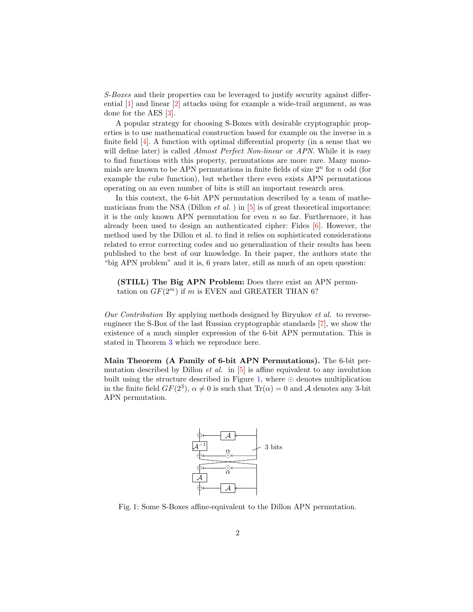S-Boxes and their properties can be leveraged to justify security against differential [\[1\]](#page-30-0) and linear [\[2\]](#page-30-1) attacks using for example a wide-trail argument, as was done for the AES [\[3\]](#page-30-2).

A popular strategy for choosing S-Boxes with desirable cryptographic properties is to use mathematical construction based for example on the inverse in a finite field [\[4\]](#page-30-3). A function with optimal differential property (in a sense that we will define later) is called *Almost Perfect Non-linear* or *APN*. While it is easy to find functions with this property, permutations are more rare. Many monomials are known to be APN permutations in finite fields of size  $2<sup>n</sup>$  for  $n$  odd (for example the cube function), but whether there even exists APN permutations operating on an even number of bits is still an important research area.

In this context, the 6-bit APN permutation described by a team of mathematicians from the NSA (Dillon *et al.* ) in  $[5]$  is of great theoretical importance: it is the only known APN permutation for even  $n$  so far. Furthermore, it has already been used to design an authenticated cipher: Fides [\[6\]](#page-30-5). However, the method used by the Dillon et al. to find it relies on sophisticated considerations related to error correcting codes and no generalization of their results has been published to the best of our knowledge. In their paper, the authors state the "big APN problem" and it is, 6 years later, still as much of an open question:

(STILL) The Big APN Problem: Does there exist an APN permutation on  $GF(2^m)$  if m is EVEN and GREATER THAN 6?

Our Contribution By applying methods designed by Biryukov et al. to reverseengineer the S-Box of the last Russian cryptographic standards [\[7\]](#page-30-6), we show the existence of a much simpler expression of the 6-bit APN permutation. This is stated in Theorem [3](#page-19-0) which we reproduce here.

<span id="page-1-0"></span>Main Theorem (A Family of 6-bit APN Permutations). The 6-bit permutation described by Dillon *et al.* in  $[5]$  is affine equivalent to any involution built using the structure described in Figure [1,](#page-1-0) where ⊙ denotes multiplication in the finite field  $GF(2^3)$ ,  $\alpha \neq 0$  is such that  $Tr(\alpha) = 0$  and A denotes any 3-bit APN permutation.



Fig. 1: Some S-Boxes affine-equivalent to the Dillon APN permutation.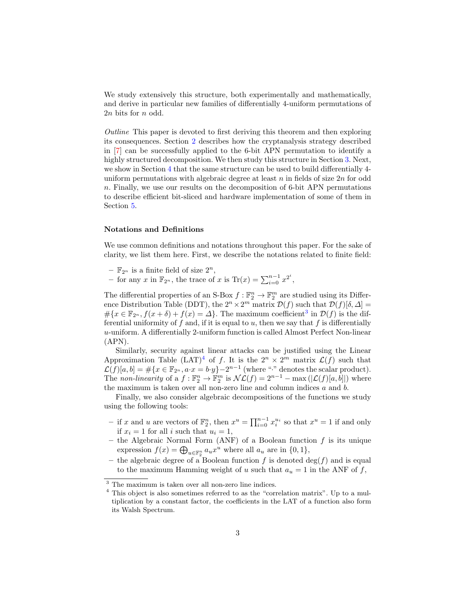We study extensively this structure, both experimentally and mathematically, and derive in particular new families of differentially 4-uniform permutations of  $2n$  bits for  $n$  odd.

Outline This paper is devoted to first deriving this theorem and then exploring its consequences. Section [2](#page-3-0) describes how the cryptanalysis strategy described in [\[7\]](#page-30-6) can be successfully applied to the 6-bit APN permutation to identify a highly structured decomposition. We then study this structure in Section [3.](#page-11-0) Next, we show in Section [4](#page-22-0) that the same structure can be used to build differentially 4 uniform permutations with algebraic degree at least  $n$  in fields of size  $2n$  for odd . Finally, we use our results on the decomposition of 6-bit APN permutations to describe efficient bit-sliced and hardware implementation of some of them in Section [5.](#page-28-0)

#### Notations and Definitions

We use common definitions and notations throughout this paper. For the sake of clarity, we list them here. First, we describe the notations related to finite field:

- $\mathbb{F}_{2^n}$  is a finite field of size  $2^n$ ,
- − for any x in  $\mathbb{F}_{2^n}$ , the trace of x is Tr(x) =  $\sum_{i=0}^{n-1} x^{2^i}$ ,

The differential properties of an S-Box  $f : \mathbb{F}_2^n \to \mathbb{F}_2^m$  are studied using its Difference Distribution Table (DDT), the  $2^n \times 2^m$  matrix  $\mathcal{D}(f)$  such that  $\mathcal{D}(f)[\delta, \Delta] =$  $\# \{x \in \mathbb{F}_{2^n}, f(x+\delta) + f(x) = \Delta\}.$  The maximum coefficient<sup>[3](#page-2-0)</sup> in  $\mathcal{D}(f)$  is the differential uniformity of  $f$  and, if it is equal to  $u$ , then we say that  $f$  is differentially -uniform. A differentially 2-uniform function is called Almost Perfect Non-linear (APN).

Similarly, security against linear attacks can be justified using the Linear Approximation Table  $(LAT)^4$  $(LAT)^4$  of f. It is the  $2^n \times 2^m$  matrix  $\mathcal{L}(f)$  such that  $\mathcal{L}(f)[a, b] = \#\{x \in \mathbb{F}_{2^n}, a \cdot x = b \cdot y\} - 2^{n-1}$  (where "." denotes the scalar product). The non-linearity of a  $f : \mathbb{F}_2^n \to \mathbb{F}_2^m$  is  $\mathcal{NL}(f) = 2^{n-1} - \max(|\mathcal{L}(f)[a, b]|)$  where the maximum is taken over all non-zero line and column indices  $a$  and  $b$ .

Finally, we also consider algebraic decompositions of the functions we study using the following tools:

- − if x and u are vectors of  $\mathbb{F}_2^n$ , then  $x^u = \prod_{i=0}^{n-1} x_i^{u_i}$  so that  $x^u = 1$  if and only if  $x_i = 1$  for all i such that  $u_i = 1$ ,
- the Algebraic Normal Form (ANF) of a Boolean function  $f$  is its unique expression  $f(x) = \bigoplus_{u \in \mathbb{F}_2^n} a_u x^u$  where all  $a_u$  are in  $\{0, 1\},$
- the algebraic degree of a Boolean function f is denoted deg(f) and is equal to the maximum Hamming weight of u such that  $a_u = 1$  in the ANF of f,

<span id="page-2-0"></span><sup>3</sup> The maximum is taken over all non-zero line indices.

<span id="page-2-1"></span><sup>4</sup> This object is also sometimes referred to as the "correlation matrix". Up to a multiplication by a constant factor, the coefficients in the LAT of a function also form its Walsh Spectrum.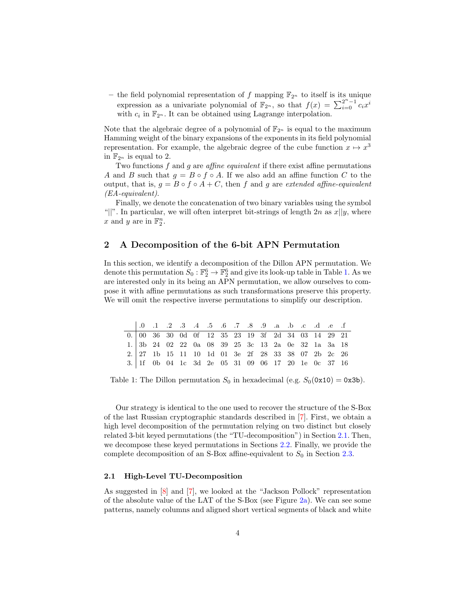– the field polynomial representation of f mapping  $\mathbb{F}_{2^n}$  to itself is its unique expression as a univariate polynomial of  $\mathbb{F}_{2^n}$ , so that  $f(x) = \sum_{i=0}^{2^n-1} c_i x^i$ with  $c_i$  in  $\mathbb{F}_{2^n}$ . It can be obtained using Lagrange interpolation.

Note that the algebraic degree of a polynomial of  $\mathbb{F}_{2^n}$  is equal to the maximum Hamming weight of the binary expansions of the exponents in its field polynomial representation. For example, the algebraic degree of the cube function  $x \mapsto x^3$ in  $\mathbb{F}_{2^n}$  is equal to 2.

Two functions  $f$  and  $g$  are *affine equivalent* if there exist affine permutations A and B such that  $q = B \circ f \circ A$ . If we also add an affine function C to the output, that is,  $q = B \circ f \circ A + C$ , then f and g are extended affine-equivalent (EA-equivalent).

Finally, we denote the concatenation of two binary variables using the symbol "|". In particular, we will often interpret bit-strings of length  $2n$  as  $x||y$ , where x and y are in  $\mathbb{F}_2^n$ .

### <span id="page-3-0"></span>2 A Decomposition of the 6-bit APN Permutation

In this section, we identify a decomposition of the Dillon APN permutation. We denote this permutation  $S_0 : \mathbb{F}_2^6 \to \mathbb{F}_2^6$  and give its look-up table in Table [1.](#page-3-1) As we are interested only in its being an APN permutation, we allow ourselves to compose it with affine permutations as such transformations preserve this property. We will omit the respective inverse permutations to simplify our description.

<span id="page-3-1"></span>

|  |  |  | 1. 9. 1. 2. 3. 4. 5. 6. 7. 8. 9. a. b. c. d. e. f                                                                            |  |  |  |  |  |
|--|--|--|------------------------------------------------------------------------------------------------------------------------------|--|--|--|--|--|
|  |  |  | $0. \begin{array}{ccccccccc} 0. & 00 & 36 & 30 & 0d & 0f & 12 & 35 & 23 & 19 & 3f & 2d & 34 & 03 & 14 & 29 & 21 \end{array}$ |  |  |  |  |  |
|  |  |  | 1. 3b 24 02 22 0a 08 39 25 3c 13 2a 0e 32 1a 3a 18                                                                           |  |  |  |  |  |
|  |  |  | 2. $27$ 1b 15 11 10 1d 01 3e 2f 28 33 38 07 2b 2c 26                                                                         |  |  |  |  |  |
|  |  |  | 3. 1f 0b 04 1c 3d 2e 05 31 09 06 17 20 1e 0c 37 16                                                                           |  |  |  |  |  |

Table 1: The Dillon permutation  $S_0$  in hexadecimal (e.g.  $S_0$ (0x10) = 0x3b).

Our strategy is identical to the one used to recover the structure of the S-Box of the last Russian cryptographic standards described in [\[7\]](#page-30-6). First, we obtain a high level decomposition of the permutation relying on two distinct but closely related 3-bit keyed permutations (the "TU-decomposition") in Section [2.1.](#page-3-2) Then, we decompose these keyed permutations in Sections [2.2.](#page-6-0) Finally, we provide the complete decomposition of an S-Box affine-equivalent to  $S_0$  in Section [2.3.](#page-8-0)

### <span id="page-3-2"></span>2.1 High-Level TU-Decomposition

As suggested in [\[8\]](#page-30-7) and [\[7\]](#page-30-6), we looked at the "Jackson Pollock" representation of the absolute value of the LAT of the S-Box (see Figure [2a\)](#page-4-0). We can see some patterns, namely columns and aligned short vertical segments of black and white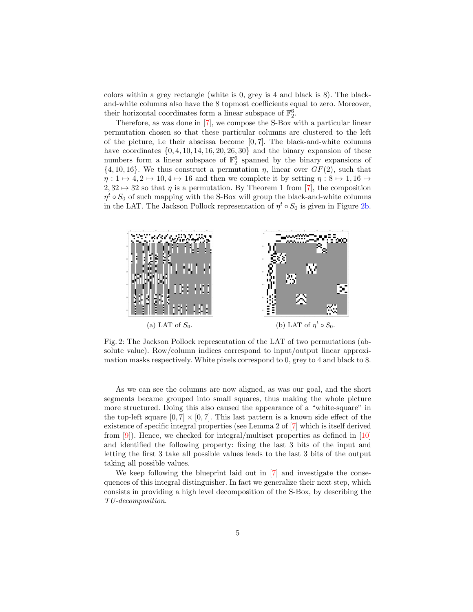colors within a grey rectangle (white is 0, grey is 4 and black is 8). The blackand-white columns also have the 8 topmost coefficients equal to zero. Moreover, their horizontal coordinates form a linear subspace of  $\mathbb{F}_2^6$ .

Therefore, as was done in [\[7\]](#page-30-6), we compose the S-Box with a particular linear permutation chosen so that these particular columns are clustered to the left of the picture, i.e their abscissa become  $[0, 7]$ . The black-and-white columns have coordinates  $\{0, 4, 10, 14, 16, 20, 26, 30\}$  and the binary expansion of these numbers form a linear subspace of  $\mathbb{F}_2^6$  spanned by the binary expansions of  $\{4, 10, 16\}$ . We thus construct a permutation  $\eta$ , linear over  $GF(2)$ , such that  $\eta: 1 \mapsto 4, 2 \mapsto 10, 4 \mapsto 16$  and then we complete it by setting  $\eta: 8 \mapsto 1, 16 \mapsto$  $2, 32 \mapsto 32$  so that  $\eta$  is a permutation. By Theorem 1 from [\[7\]](#page-30-6), the composition  $η<sup>t</sup> ◦ S<sub>0</sub>$  of such mapping with the S-Box will group the black-and-white columns in the LAT. The Jackson Pollock representation of  $\eta^t \circ S_0$  is given in Figure [2b.](#page-4-0)

<span id="page-4-0"></span>

Fig. 2: The Jackson Pollock representation of the LAT of two permutations (absolute value). Row/column indices correspond to input/output linear approximation masks respectively. White pixels correspond to 0, grey to 4 and black to 8.

As we can see the columns are now aligned, as was our goal, and the short segments became grouped into small squares, thus making the whole picture more structured. Doing this also caused the appearance of a "white-square" in the top-left square  $[0, 7] \times [0, 7]$ . This last pattern is a known side effect of the existence of specific integral properties (see Lemma 2 of [\[7\]](#page-30-6) which is itself derived from  $[9]$ ). Hence, we checked for integral/multiset properties as defined in  $[10]$ and identified the following property: fixing the last 3 bits of the input and letting the first 3 take all possible values leads to the last 3 bits of the output taking all possible values.

<span id="page-4-1"></span>We keep following the blueprint laid out in [\[7\]](#page-30-6) and investigate the consequences of this integral distinguisher. In fact we generalize their next step, which consists in providing a high level decomposition of the S-Box, by describing the TU-decomposition.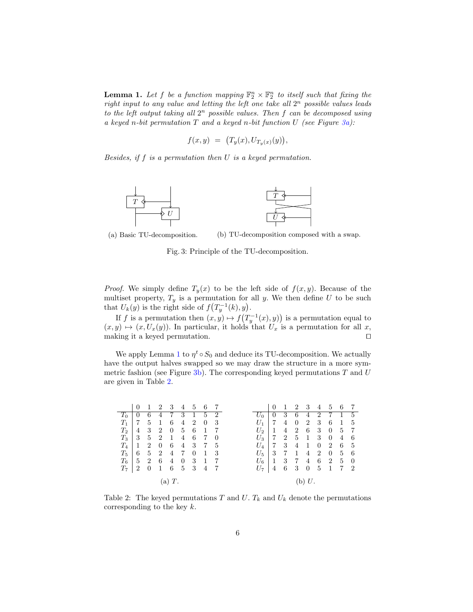**Lemma 1.** Let f be a function mapping  $\mathbb{F}_2^n \times \mathbb{F}_2^n$  to itself such that fixing the right input to any value and letting the left one take all  $2^n$  possible values leads to the left output taking all  $2^n$  possible values. Then  $f$  can be decomposed using a keyed n-bit permutation  $T$  and a keyed n-bit function  $U$  (see Figure  $3a$ ):

$$
f(x,y) = (T_y(x), U_{T_y(x)}(y)),
$$

Besides, if  $f$  is a permutation then  $U$  is a keyed permutation.

<span id="page-5-0"></span>

(a) Basic TU-decomposition.

(b) TU-decomposition composed with a swap.

Fig. 3: Principle of the TU-decomposition.

*Proof.* We simply define  $T_y(x)$  to be the left side of  $f(x, y)$ . Because of the multiset property,  $T_y$  is a permutation for all y. We then define U to be such that  $U_k(y)$  is the right side of  $f(T_y^{-1}(k), y)$ .

If f is a permutation then  $(x, y) \mapsto f(T_y^{-1}(x), y)$  is a permutation equal to  $(x, y) \mapsto (x, U_x(y))$ . In particular, it holds that  $U_x$  is a permutation for all x, making it a keyed permutation. ⊓⊔

We apply Lemma [1](#page-4-1) to  $\eta^t \circ S_0$  and deduce its TU-decomposition. We actually have the output halves swapped so we may draw the structure in a more symmetric fashion (see Figure  $3b$ ). The corresponding keyed permutations T and U are given in Table [2.](#page-5-1)

<span id="page-5-1"></span>

|       | $\Omega$       | 1              | 2 3               |       |                |                | 4 5 6 7      |     |               | $\theta$       | -1                        | 2 3             |                | 4 5 6                     |                |                  | - 7            |
|-------|----------------|----------------|-------------------|-------|----------------|----------------|--------------|-----|---------------|----------------|---------------------------|-----------------|----------------|---------------------------|----------------|------------------|----------------|
| $T_0$ | $\mathbf{0}$   | 6              | 4                 | 7 3   |                |                | 1 5 2        |     |               | -0             | 3                         | 6               | 4              | $\overline{2}$            | 7              | 1 5              |                |
| $T_1$ | 7              | 5              | $\overline{1}$    | 6     | 4              | $\overline{2}$ | $\mathbf{0}$ | - 3 | $U_1$         |                | $\overline{4}$            | $\theta$        | $\overline{2}$ | 3                         | 6              | -1               | - 5            |
| $T_2$ | 4              | 3              | 2 0               |       | 5 6            |                | -1           |     | $U_2$         | -1             |                           | 4 2             | -6             | 3 <sup>3</sup>            | $\overline{0}$ | 5 7              |                |
| $T_3$ | 3              |                | $5\quad 2\quad 1$ |       |                | $4\quad 6$     | 7            | - 0 | $U_3 \perp 7$ |                |                           | 2 5 1           |                | $\overline{\phantom{a}3}$ | $\overline{0}$ | $\overline{4}$   | -6             |
| $T_4$ | 1              | 2              | $\overline{0}$    | 6     |                | 4 3            | 7 5          |     | $U_4$         | $\overline{7}$ | $\overline{\phantom{a}3}$ | $\overline{4}$  | -1             | $\overline{0}$            | $\overline{2}$ | -6               | - 5            |
| $T_5$ | 6              | $5^{\circ}$    | $\overline{2}$    | 4     | - 7            | $\overline{0}$ | $\mathbf{1}$ | -3  | $U_{5}$       | -3             | $\overline{7}$            | $\mathbf{1}$    | 4              | 2                         | $\overline{0}$ | $5\phantom{.00}$ | - 6            |
| $T_6$ | $5^{\circ}$    | 2              | $6\,$             | 4     | $\overline{0}$ | 3              | -1           | -7  | $U_6$         | -1             | 3                         | $7\overline{7}$ | 4              | -6                        | $\overline{2}$ |                  | $\overline{0}$ |
| $T_7$ | $\overline{2}$ | $\overline{0}$ | $\overline{1}$    |       | 6 5 3          |                | 4            |     | $U_7$         | $\overline{4}$ | 6                         | - 3             | $\overline{0}$ | $-5$                      | $\overline{1}$ | 7 2              |                |
|       |                |                |                   | (a)T. |                |                |              |     |               |                |                           |                 | (b) $U$ .      |                           |                |                  |                |

Table 2: The keyed permutations T and U.  $T_k$  and  $U_k$  denote the permutations corresponding to the key  $k$ .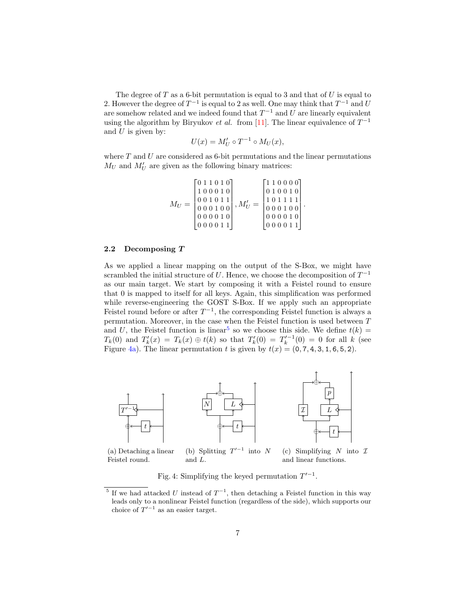The degree of  $T$  as a 6-bit permutation is equal to 3 and that of  $U$  is equal to 2. However the degree of  $T^{-1}$  is equal to 2 as well. One may think that  $T^{-1}$  and U are somehow related and we indeed found that  $T^{-1}$  and U are linearly equivalent using the algorithm by Biryukov *et al.* from [\[11\]](#page-31-2). The linear equivalence of  $T^{-1}$ and  $U$  is given by:

$$
U(x) = M'_U \circ T^{-1} \circ M_U(x),
$$

where  $T$  and  $U$  are considered as 6-bit permutations and the linear permutations  $M_U$  and  $M'_U$  are given as the following binary matrices:

$$
M_U = \left[\begin{matrix} 0 & 1 & 1 & 0 & 1 & 0 \\ 1 & 0 & 0 & 0 & 1 & 0 \\ 0 & 0 & 1 & 0 & 1 & 1 \\ 0 & 0 & 0 & 1 & 0 & 0 \\ 0 & 0 & 0 & 1 & 0 & 0 \\ 0 & 0 & 0 & 0 & 1 & 0 \\ 0 & 0 & 0 & 0 & 1 & 1 \end{matrix}\right], M'_U = \left[\begin{matrix} 1 & 1 & 0 & 0 & 0 & 0 \\ 0 & 1 & 0 & 0 & 1 & 0 \\ 1 & 0 & 1 & 1 & 1 & 1 \\ 0 & 0 & 1 & 1 & 0 & 1 \\ 0 & 0 & 0 & 0 & 1 & 0 \\ 0 & 0 & 0 & 0 & 1 & 1 \end{matrix}\right]
$$

.

#### <span id="page-6-0"></span>2.2 Decomposing T

As we applied a linear mapping on the output of the S-Box, we might have scrambled the initial structure of U. Hence, we choose the decomposition of  $T^{-1}$ as our main target. We start by composing it with a Feistel round to ensure that 0 is mapped to itself for all keys. Again, this simplification was performed while reverse-engineering the GOST S-Box. If we apply such an appropriate Feistel round before or after  $T^{-1}$ , the corresponding Feistel function is always a permutation. Moreover, in the case when the Feistel function is used between  $T$ and U, the Feistel function is linear<sup>[5](#page-6-1)</sup> so we choose this side. We define  $t(k)$  =  $T_k(0)$  and  $T'_k(x) = T_k(x) \oplus t(k)$  so that  $T'_k(0) = T'^{-1}_k(0) = 0$  for all k (see Figure [4a\)](#page-6-2). The linear permutation t is given by  $t(x) = (0, 7, 4, 3, 1, 6, 5, 2)$ .

<span id="page-6-2"></span>

(a) Detaching a linear Feistel round. (b) Splitting  $T'^{-1}$ and  $L$ . (c) Simplifying  $N$  into  $\mathcal I$ and linear functions.

Fig. 4: Simplifying the keyed permutation  $T'^{-1}$ .

<span id="page-6-1"></span><sup>&</sup>lt;sup>5</sup> If we had attacked U instead of  $T^{-1}$ , then detaching a Feistel function in this way leads only to a nonlinear Feistel function (regardless of the side), which supports our choice of  $T'^{-1}$  as an easier target.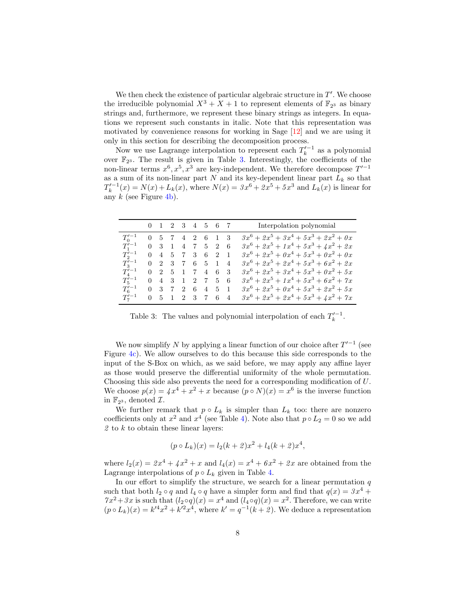We then check the existence of particular algebraic structure in  $T'$ . We choose the irreducible polynomial  $X^3 + X + 1$  to represent elements of  $\mathbb{F}_{2^3}$  as binary strings and, furthermore, we represent these binary strings as integers. In equations we represent such constants in italic. Note that this representation was motivated by convenience reasons for working in Sage [\[12\]](#page-31-3) and we are using it only in this section for describing the decomposition process.

Now we use Lagrange interpolation to represent each  $T'^{-1}_k$  as a polynomial over  $\mathbb{F}_{2^3}$ . The result is given in Table [3.](#page-7-0) Interestingly, the coefficients of the non-linear terms  $x^6, x^5, x^3$  are key-independent. We therefore decompose  $T'^{-1}$ as a sum of its non-linear part  $N$  and its key-dependent linear part  $L_k$  so that  $T_k'^{-1}(x) = N(x) + L_k(x)$ , where  $N(x) = 3x^6 + 2x^5 + 5x^3$  and  $L_k(x)$  is linear for any  $k$  (see Figure [4b\)](#page-6-2).

<span id="page-7-0"></span>

|                   |  | 0 1 2 3 4 5 6 7                 |  |  | Interpolation polynomial                |
|-------------------|--|---------------------------------|--|--|-----------------------------------------|
| $T_0^{\prime -1}$ |  | 0 5 7 4 2 6 1 3                 |  |  | $3x^6 + 2x^5 + 3x^4 + 5x^3 + 2x^2 + 0x$ |
| $T_1'^{-1}$       |  | $0$ 3 1 4 7 5 2 6               |  |  | $3x^6 + 2x^5 + 1x^4 + 5x^3 + 4x^2 + 2x$ |
| $T_2'^{-1}$       |  | $0$ 4 5 7 3 6 2                 |  |  | $3x^6 + 2x^5 + 0x^4 + 5x^3 + 0x^2 + 0x$ |
| $T_3^{\prime -1}$ |  | $0 \t2 \t3 \t7 \t6 \t5 \t1 \t4$ |  |  | $3x^6 + 2x^5 + 2x^4 + 5x^3 + 6x^2 + 2x$ |
| $T_4'^{-1}$       |  | $0 \t2 \t5 \t1 \t7 \t4 \t6 \t3$ |  |  | $3x^6 + 2x^5 + 3x^4 + 5x^3 + 0x^2 + 5x$ |
| $T_5^{\prime -1}$ |  | $0$ 4 3 1 2 7 5 6               |  |  | $3x^6 + 2x^5 + 1x^4 + 5x^3 + 6x^2 + 7x$ |
| $T_6^{\prime -1}$ |  | $0 \t3 \t7 \t2 \t6 \t4 \t5 \t1$ |  |  | $3x^6 + 2x^5 + 0x^4 + 5x^3 + 2x^2 + 5x$ |
| $T_7^{\prime -1}$ |  | $0 \t5 \t1 \t2 \t3 \t7 \t6 \t4$ |  |  | $3x^6 + 2x^5 + 2x^4 + 5x^3 + 4x^2 + 7x$ |

Table 3: The values and polynomial interpolation of each  $T_k'^{-1}$ .

We now simplify N by applying a linear function of our choice after  $T'^{-1}$  (see Figure [4c\)](#page-6-2). We allow ourselves to do this because this side corresponds to the input of the S-Box on which, as we said before, we may apply any affine layer as those would preserve the differential uniformity of the whole permutation. Choosing this side also prevents the need for a corresponding modification of  $U$ . We choose  $p(x) = \sqrt{x^4 + x^2 + x}$  because  $(p \circ N)(x) = x^6$  is the inverse function in  $\mathbb{F}_{2^3}$ , denoted  $\mathcal{I}$ .

We further remark that  $p \circ L_k$  is simpler than  $L_k$  too: there are nonzero coefficients only at  $x^2$  and  $x^4$  (see Table [4\)](#page-8-1). Note also that  $p \circ L_2 = 0$  so we add  $2$  to  $k$  to obtain these linear layers:

$$
(p \circ L_k)(x) = l_2(k+2)x^2 + l_4(k+2)x^4,
$$

where  $l_2(x) = 2x^4 + 4x^2 + x$  and  $l_4(x) = x^4 + 6x^2 + 2x$  are obtained from the Lagrange interpolations of  $p \circ L_k$  given in Table [4.](#page-8-1)

In our effort to simplify the structure, we search for a linear permutation  $q$ such that both  $l_2 \circ q$  and  $l_4 \circ q$  have a simpler form and find that  $q(x) = 3x^4 +$  $7x^2+3x$  is such that  $(l_2 \circ q)(x) = x^4$  and  $(l_4 \circ q)(x) = x^2$ . Therefore, we can write  $(p \circ L_k)(x) = k'^4x^2 + k'^2x^4$ , where  $k' = q^{-1}(k + 2)$ . We deduce a representation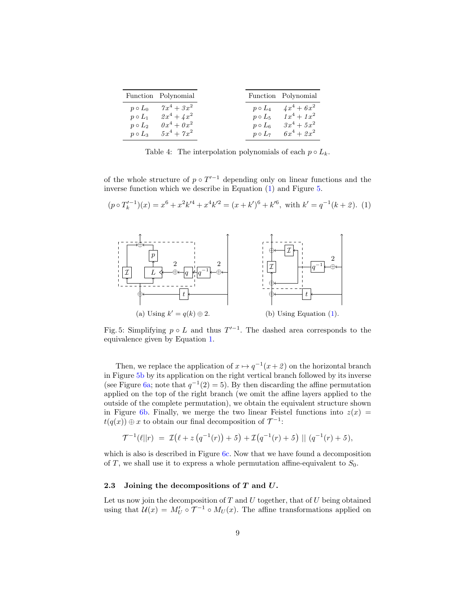<span id="page-8-1"></span>

| Function Polynomial |               |               | Function Polynomial |
|---------------------|---------------|---------------|---------------------|
| $p \circ L_0$       | $7x^4 + 3x^2$ | $p \circ L_4$ | $4x^4 + 6x^2$       |
| $p \circ L_1$       | $2x^4 + 4x^2$ | $p \circ L_5$ | $1x^4 + 1x^2$       |
| $p \circ L_2$       | $0x^4 + 0x^2$ | $p \circ L_6$ | $3x^4 + 5x^2$       |
| $p \circ L_3$       | $5x^4 + 7x^2$ | $p \circ L_7$ | $6x^4 + 2x^2$       |

Table 4: The interpolation polynomials of each  $p \circ L_k$ .

of the whole structure of  $p \circ T'^{-1}$  depending only on linear functions and the inverse function which we describe in Equation [\(1\)](#page-8-2) and Figure [5.](#page-8-3)

<span id="page-8-2"></span>
$$
(p \circ T_k'^{-1})(x) = x^6 + x^2k'^4 + x^4k'^2 = (x + k')^6 + k'^6, \text{ with } k' = q^{-1}(k+2). \tag{1}
$$

<span id="page-8-3"></span>

Fig. 5: Simplifying  $p \circ L$  and thus  $T'^{-1}$ . The dashed area corresponds to the equivalence given by Equation [1.](#page-8-2)

Then, we replace the application of  $x \mapsto q^{-1}(x+2)$  on the horizontal branch in Figure [5b](#page-8-3) by its application on the right vertical branch followed by its inverse (see Figure [6a;](#page-9-0) note that  $q^{-1}(2) = 5$ ). By then discarding the affine permutation applied on the top of the right branch (we omit the affine layers applied to the outside of the complete permutation), we obtain the equivalent structure shown in Figure [6b.](#page-9-0) Finally, we merge the two linear Feistel functions into  $z(x) =$  $t(q(x)) \oplus x$  to obtain our final decomposition of  $\mathcal{T}^{-1}$ :

$$
\mathcal{T}^{-1}(\ell||r) = \mathcal{I}(\ell + z(q^{-1}(r)) + 5) + \mathcal{I}(q^{-1}(r) + 5) || (q^{-1}(r) + 5),
$$

which is also is described in Figure [6c.](#page-9-0) Now that we have found a decomposition of T, we shall use it to express a whole permutation affine-equivalent to  $S_0$ .

### <span id="page-8-0"></span>2.3 Joining the decompositions of  $T$  and  $U$ .

Let us now join the decomposition of  $T$  and  $U$  together, that of  $U$  being obtained using that  $\mathcal{U}(x) = M'_U \circ \mathcal{T}^{-1} \circ M_U(x)$ . The affine transformations applied on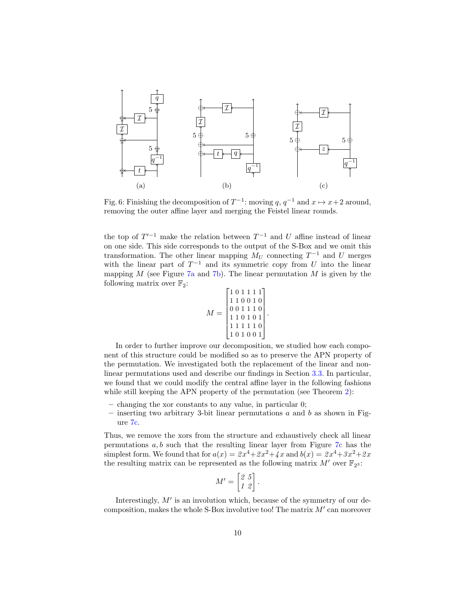<span id="page-9-0"></span>

Fig. 6: Finishing the decomposition of  $T^{-1}$ : moving  $q, q^{-1}$  and  $x \mapsto x+2$  around, removing the outer affine layer and merging the Feistel linear rounds.

the top of  $T'^{-1}$  make the relation between  $T^{-1}$  and U affine instead of linear on one side. This side corresponds to the output of the S-Box and we omit this transformation. The other linear mapping  $M_U$  connecting  $T^{-1}$  and U merges with the linear part of  $T^{-1}$  and its symmetric copy from U into the linear mapping  $M$  (see Figure [7a](#page-10-0) and [7b\)](#page-10-0). The linear permutation  $M$  is given by the following matrix over  $\mathbb{F}_2$ :

$$
M = \begin{bmatrix} 1 & 0 & 1 & 1 & 1 & 1 \\ 1 & 1 & 0 & 0 & 1 & 0 \\ 0 & 0 & 1 & 1 & 1 & 0 \\ 1 & 1 & 0 & 1 & 0 & 1 \\ 1 & 1 & 1 & 1 & 1 & 0 \\ 1 & 0 & 1 & 0 & 0 & 1 \end{bmatrix}
$$

.

In order to further improve our decomposition, we studied how each component of this structure could be modified so as to preserve the APN property of the permutation. We investigated both the replacement of the linear and nonlinear permutations used and describe our findings in Section [3.3.](#page-14-0) In particular, we found that we could modify the central affine layer in the following fashions while still keeping the APN property of the permutation (see Theorem [2\)](#page-14-1):

- changing the xor constants to any value, in particular 0;
- inserting two arbitrary 3-bit linear permutations  $a$  and  $b$  as shown in Figure [7c.](#page-10-0)

Thus, we remove the xors from the structure and exhaustively check all linear permutations  $a, b$  such that the resulting linear layer from Figure [7c](#page-10-0) has the simplest form. We found that for  $a(x) = 2x^4 + 2x^2 + 4x$  and  $b(x) = 2x^4 + 3x^2 + 2x$ the resulting matrix can be represented as the following matrix  $M'$  over  $\mathbb{F}_{2^3}$ :

$$
M' = \begin{bmatrix} 2 & 5 \\ 1 & 2 \end{bmatrix}
$$

.

Interestingly,  $M'$  is an involution which, because of the symmetry of our decomposition, makes the whole  $S$ -Box involutive too! The matrix  $M'$  can moreover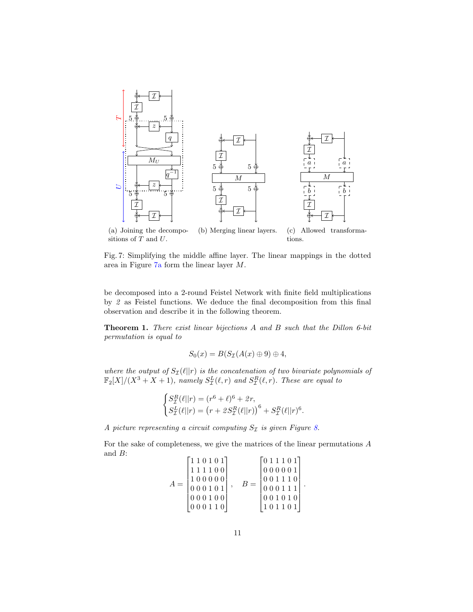<span id="page-10-0"></span>

(a) Joining the decompositions of  $T$  and  $U$ . (b) Merging linear layers. (c) Allowed transformations.

Fig. 7: Simplifying the middle affine layer. The linear mappings in the dotted area in Figure  $7a$  form the linear layer  $M$ .

be decomposed into a 2-round Feistel Network with finite field multiplications by 2 as Feistel functions. We deduce the final decomposition from this final observation and describe it in the following theorem.

Theorem 1. There exist linear bijections A and B such that the Dillon 6-bit permutation is equal to

$$
S_0(x) = B(S_{\mathcal{I}}(A(x) \oplus 9) \oplus 4,
$$

where the output of  $S_{\mathcal{I}}(\ell||r)$  is the concatenation of two bivariate polynomials of  $\mathbb{F}_2[X]/(X^3+X+1)$ , namely  $S^L_{\mathcal{I}}(\ell,r)$  and  $S^R_{\mathcal{I}}(\ell,r)$ . These are equal to

$$
\begin{cases} S^R_{\mathcal{I}}(\ell||r) = (r^6 + \ell)^6 + 2r, \\ S^L_{\mathcal{I}}(\ell||r) = (r + 2S^R_{\mathcal{I}}(\ell||r))^6 + S^R_{\mathcal{I}}(\ell||r)^6. \end{cases}
$$

A picture representing a circuit computing  $S_{\mathcal{I}}$  is given Figure [8.](#page-11-1)

For the sake of completeness, we give the matrices of the linear permutations  $A$ and  $B$ :  $\overline{a}$ 

$$
A = \begin{bmatrix} 1 & 1 & 0 & 1 & 0 & 1 \\ 1 & 1 & 1 & 1 & 0 & 0 \\ 1 & 0 & 0 & 0 & 0 & 0 \\ 0 & 0 & 0 & 1 & 0 & 1 \\ 0 & 0 & 0 & 1 & 0 & 0 \\ 0 & 0 & 0 & 1 & 1 & 0 \end{bmatrix}, \quad B = \begin{bmatrix} 0 & 1 & 1 & 0 & 1 \\ 0 & 0 & 0 & 0 & 0 & 1 \\ 0 & 0 & 1 & 1 & 1 & 0 \\ 0 & 0 & 0 & 1 & 1 & 1 \\ 0 & 0 & 1 & 0 & 1 & 0 \end{bmatrix}.
$$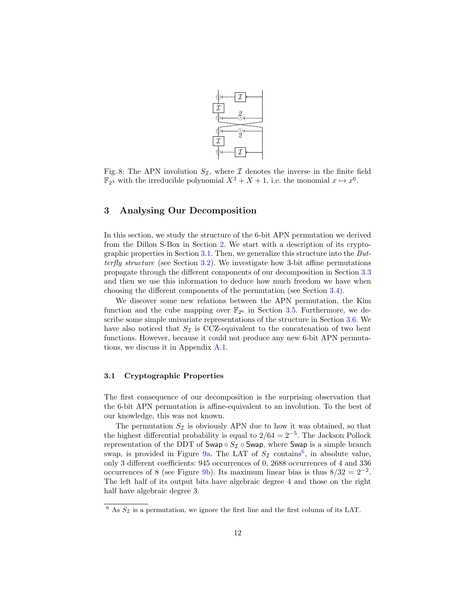

<span id="page-11-1"></span>Fig. 8: The APN involution  $S_{\mathcal{I}}$ , where  $\mathcal I$  denotes the inverse in the finite field  $\mathbb{F}_{2^3}$  with the irreducible polynomial  $X^3 + X + 1$ , i.e. the monomial  $x \mapsto x^6$ .

### <span id="page-11-0"></span>3 Analysing Our Decomposition

In this section, we study the structure of the 6-bit APN permutation we derived from the Dillon S-Box in Section [2.](#page-3-0) We start with a description of its cryptographic properties in Section [3.1.](#page-11-2) Then, we generalize this structure into the Butterfly structure (see Section [3.2\)](#page-12-0). We investigate how 3-bit affine permutations propagate through the different components of our decomposition in Section [3.3](#page-14-0) and then we use this information to deduce how much freedom we have when choosing the different components of the permutation (see Section [3.4\)](#page-18-0).

We discover some new relations between the APN permutation, the Kim function and the cube mapping over  $\mathbb{F}_{2^6}$  in Section [3.5.](#page-19-1) Furthermore, we describe some simple univariate representations of the structure in Section [3.6.](#page-21-0) We have also noticed that  $S_{\mathcal{I}}$  is CCZ-equivalent to the concatenation of two bent functions. However, because it could not produce any new 6-bit APN permutations, we discuss it in Appendix [A.1.](#page-31-4)

#### <span id="page-11-2"></span>3.1 Cryptographic Properties

The first consequence of our decomposition is the surprising observation that the 6-bit APN permutation is affine-equivalent to an involution. To the best of our knowledge, this was not known.

The permutation  $S_{\mathcal{I}}$  is obviously APN due to how it was obtained, so that the highest differential probability is equal to  $2/64 = 2^{-5}$ . The Jackson Pollock representation of the DDT of Swap ∘  $S_{\mathcal{I}}$  ∘ Swap, where Swap is a simple branch swap, is provided in Figure [9a.](#page-12-1) The LAT of  $S_{\mathcal{I}}$  contains<sup>[6](#page-11-3)</sup>, in absolute value, only 3 different coefficients: 945 occurrences of 0, 2688 occurrences of 4 and 336 occurrences of 8 (see Figure [9b\)](#page-12-1). Its maximum linear bias is thus  $8/32 = 2^{-2}$ . The left half of its output bits have algebraic degree 4 and those on the right half have algebraic degree 3.

<span id="page-11-3"></span> $6$  As  $S_{\mathcal{I}}$  is a permutation, we ignore the first line and the first column of its LAT.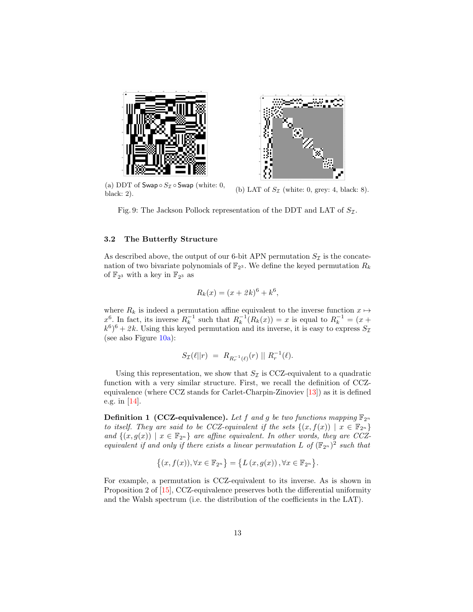<span id="page-12-1"></span>

(a) DDT of Swap  $\circ S_{\mathcal{I}} \circ$  Swap (white: 0, (a) DD1 of Swap  $\circ$  52  $\circ$  Swap (white: 0, 0) LAT of  $S_{\mathcal{I}}$  (white: 0, grey: 4, black: 8).<br>black: 2).

Fig. 9: The Jackson Pollock representation of the DDT and LAT of  $S_{\mathcal{I}}$ .

#### <span id="page-12-0"></span>3.2 The Butterfly Structure

As described above, the output of our 6-bit APN permutation  $S_{\mathcal{I}}$  is the concatenation of two bivariate polynomials of  $\mathbb{F}_{2^3}$ . We define the keyed permutation  $R_k$ of  $\mathbb{F}_{2^3}$  with a key in  $\mathbb{F}_{2^3}$  as

$$
R_k(x) = (x + 2k)^6 + k^6,
$$

where  $R_k$  is indeed a permutation affine equivalent to the inverse function  $x \mapsto$  $x^6$ . In fact, its inverse  $R_k^{-1}$  such that  $R_k^{-1}(R_k(x)) = x$  is equal to  $R_k^{-1} = (x +$  $(k^6)^6 + 2k$ . Using this keyed permutation and its inverse, it is easy to express  $S_{\mathcal{I}}$ (see also Figure  $10a$ ):

$$
S_{\mathcal{I}}(\ell||r) = R_{R_r^{-1}(\ell)}(r) || R_r^{-1}(\ell).
$$

Using this representation, we show that  $S_{\mathcal{I}}$  is CCZ-equivalent to a quadratic function with a very similar structure. First, we recall the definition of CCZequivalence (where CCZ stands for Carlet-Charpin-Zinoviev [\[13\]](#page-31-5)) as it is defined e.g. in [\[14\]](#page-31-6).

**Definition 1 (CCZ-equivalence).** Let f and g be two functions mapping  $\mathbb{F}_{2^n}$ to itself. They are said to be CCZ-equivalent if the sets  $\{(x, f(x)) \mid x \in \mathbb{F}_{2^n}\}\$ and  $\{(x, g(x)) \mid x \in \mathbb{F}_{2^n}\}\$ are affine equivalent. In other words, they are CCZequivalent if and only if there exists a linear permutation L of  $(\mathbb{F}_{2^n})^2$  such that

$$
\left\{(x,f(x)),\forall x\in\mathbb{F}_{2^n}\right\} = \left\{L\left(x,g(x)\right),\forall x\in\mathbb{F}_{2^n}\right\}.
$$

<span id="page-12-2"></span>For example, a permutation is CCZ-equivalent to its inverse. As is shown in Proposition 2 of [\[15\]](#page-31-7), CCZ-equivalence preserves both the differential uniformity and the Walsh spectrum (i.e. the distribution of the coefficients in the LAT).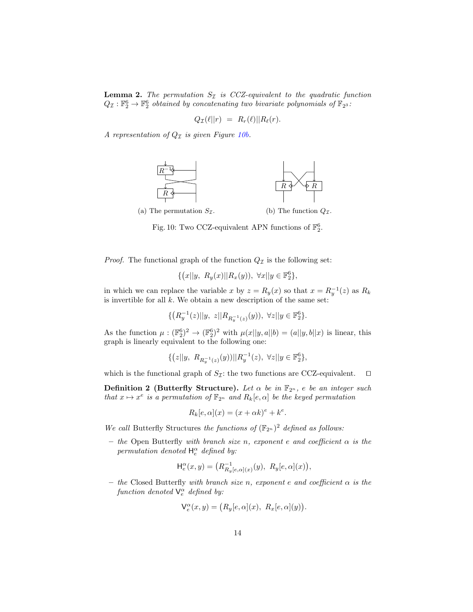**Lemma 2.** The permutation  $S_{\mathcal{I}}$  is CCZ-equivalent to the quadratic function  $Q_{\mathcal{I}}: \mathbb{F}_2^6 \to \mathbb{F}_2^6$  obtained by concatenating two bivariate polynomials of  $\mathbb{F}_{2^3}$ :

$$
Q_{\mathcal{I}}(\ell||r) = R_r(\ell)||R_{\ell}(r).
$$

<span id="page-13-0"></span>A representation of  $Q_{\mathcal{I}}$  is given Figure [10b.](#page-13-0)



Fig. 10: Two CCZ-equivalent APN functions of  $\mathbb{F}_2^6$ .

*Proof.* The functional graph of the function  $Q_{\mathcal{I}}$  is the following set:

$$
\{(x||y, R_y(x)||R_x(y)), \ \forall x||y \in \mathbb{F}_2^6\},\
$$

in which we can replace the variable x by  $z = R_y(x)$  so that  $x = R_y^{-1}(z)$  as  $R_k$ is invertible for all  $k$ . We obtain a new description of the same set:

$$
\{ \left(R_{y}^{-1}(z)||y,\ z||R_{R_{y}^{-1}(z)}(y)\right),\ \forall z||y\in\mathbb{F}_{2}^{6}\}.
$$

As the function  $\mu: (\mathbb{F}_2^6)^2 \to (\mathbb{F}_2^6)^2$  with  $\mu(x||y, a||b) = (a||y, b||x)$  is linear, this graph is linearly equivalent to the following one:

$$
\{ (z||y, R_{R_y^{-1}(z)}(y)) || R_y^{-1}(z), \ \forall z || y \in \mathbb{F}_2^6 \},
$$

which is the functional graph of  $S_{\mathcal{I}}$ : the two functions are CCZ-equivalent.  $\Box$ 

Definition 2 (Butterfly Structure). Let  $\alpha$  be in  $\mathbb{F}_{2^n}$ , e be an integer such that  $x \mapsto x^e$  is a permutation of  $\mathbb{F}_{2^n}$  and  $R_k[e, \alpha]$  be the keyed permutation

$$
R_k[e, \alpha](x) = (x + \alpha k)^e + k^e.
$$

We call Butterfly Structures the functions of  $(\mathbb{F}_{2^n})^2$  defined as follows:

– the Open Butterfly with branch size n, exponent  $e$  and coefficient  $\alpha$  is the permutation denoted  $H_e^{\alpha}$  defined by:

$$
\mathsf{H}_e^{\alpha}(x,y) = \left( R_{R_y[e,\alpha](x)}^{-1}(y), \ R_y[e,\alpha](x) \right),
$$

– the Closed Butterfly with branch size n, exponent e and coefficient  $\alpha$  is the function denoted  $\mathsf{V}_{e}^{\alpha}$  defined by:

$$
\mathsf{V}_e^{\alpha}(x,y) = \big(R_y[e,\alpha](x),\ R_x[e,\alpha](y)\big)
$$

.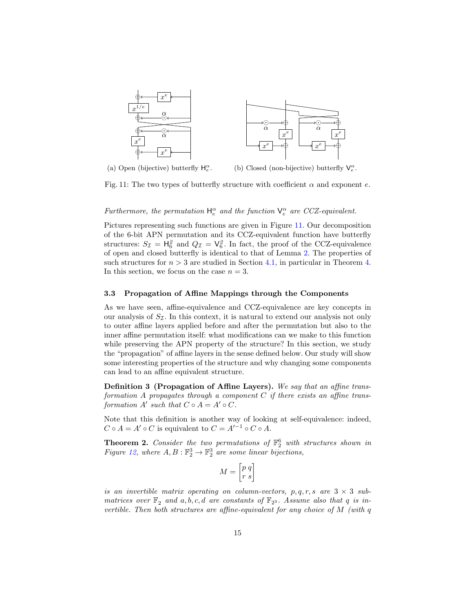<span id="page-14-2"></span>

(a) Open (bijective) butterfly  $H_e^{\alpha}$ . (b) Closed (non-bijective) butterfly  $V_e^{\alpha}$ .

Fig. 11: The two types of butterfly structure with coefficient  $\alpha$  and exponent  $e$ .

## Furthermore, the permutation  $H_e^{\alpha}$  and the function  $V_e^{\alpha}$  are CCZ-equivalent.

Pictures representing such functions are given in Figure [11.](#page-14-2) Our decomposition of the 6-bit APN permutation and its CCZ-equivalent function have butterfly structures:  $S_{\mathcal{I}} = \mathsf{H}_{6}^{2}$  and  $Q_{\mathcal{I}} = \mathsf{V}_{6}^{2}$ . In fact, the proof of the CCZ-equivalence of open and closed butterfly is identical to that of Lemma [2.](#page-12-2) The properties of such structures for  $n > 3$  are studied in Section [4.1,](#page-23-0) in particular in Theorem [4.](#page-23-1) In this section, we focus on the case  $n = 3$ .

#### <span id="page-14-0"></span>3.3 Propagation of Affine Mappings through the Components

As we have seen, affine-equivalence and CCZ-equivalence are key concepts in our analysis of  $S_{\mathcal{I}}$ . In this context, it is natural to extend our analysis not only to outer affine layers applied before and after the permutation but also to the inner affine permutation itself: what modifications can we make to this function while preserving the APN property of the structure? In this section, we study the "propagation" of affine layers in the sense defined below. Our study will show some interesting properties of the structure and why changing some components can lead to an affine equivalent structure.

Definition 3 (Propagation of Affine Layers). We say that an affine transformation A propagates through a component  $C$  if there exists an affine transformation  $A'$  such that  $C \circ A = A' \circ C$ .

Note that this definition is another way of looking at self-equivalence: indeed,  $C \circ A = A' \circ C$  is equivalent to  $C = A'^{-1} \circ C \circ A$ .

<span id="page-14-1"></span>**Theorem 2.** Consider the two permutations of  $\mathbb{F}_2^6$  with structures shown in Figure [12,](#page-15-0) where  $A, B: \mathbb{F}_2^3 \to \mathbb{F}_2^3$  are some linear bijections,

$$
M = \begin{bmatrix} p & q \\ r & s \end{bmatrix}
$$

is an invertible matrix operating on column-vectors, p, q, r, s are  $3 \times 3$  submatrices over  $\mathbb{F}_2$  and  $a, b, c, d$  are constants of  $\mathbb{F}_2$ s. Assume also that q is invertible. Then both structures are affine-equivalent for any choice of  $M$  (with  $q$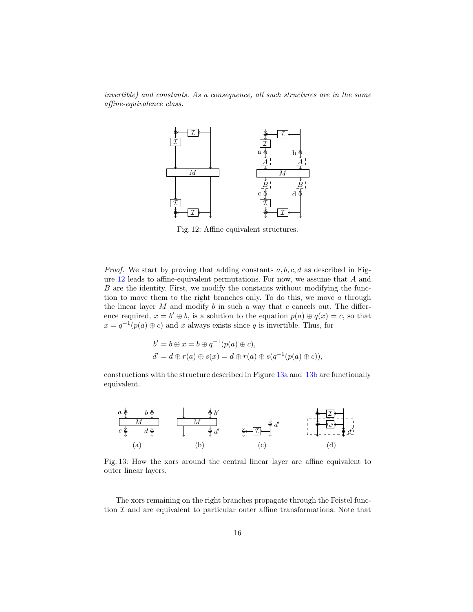<span id="page-15-0"></span>invertible) and constants. As a consequence, all such structures are in the same affine-equivalence class.



Fig. 12: Affine equivalent structures.

*Proof.* We start by proving that adding constants  $a, b, c, d$  as described in Fig-ure [12](#page-15-0) leads to affine-equivalent permutations. For now, we assume that  $A$  and  $B$  are the identity. First, we modify the constants without modifying the function to move them to the right branches only. To do this, we move  $a$  through the linear layer  $M$  and modify  $b$  in such a way that  $c$  cancels out. The difference required,  $x = b' \oplus b$ , is a solution to the equation  $p(a) \oplus q(x) = c$ , so that  $x = q^{-1}(p(a) \oplus c)$  and x always exists since q is invertible. Thus, for

$$
b' = b \oplus x = b \oplus q^{-1}(p(a) \oplus c),
$$
  
\n
$$
d' = d \oplus r(a) \oplus s(x) = d \oplus r(a) \oplus s(q^{-1}(p(a) \oplus c)),
$$

constructions with the structure described in Figure [13a](#page-15-1) and [13b](#page-15-1) are functionally equivalent.

<span id="page-15-1"></span>

Fig. 13: How the xors around the central linear layer are affine equivalent to outer linear layers.

The xors remaining on the right branches propagate through the Feistel function  $I$  and are equivalent to particular outer affine transformations. Note that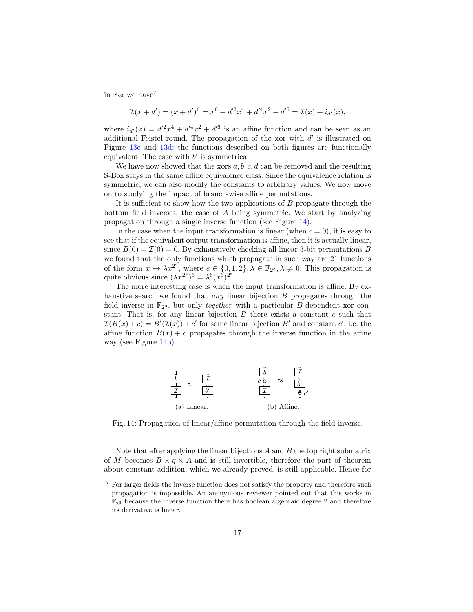in  $\mathbb{F}_{2^3}$  we have<sup>[7](#page-16-0)</sup>

$$
\mathcal{I}(x+d') = (x+d')^6 = x^6 + d'^2x^4 + d'^4x^2 + d'^6 = \mathcal{I}(x) + i_{d'}(x),
$$

where  $i_{d'}(x) = d'^2x^4 + d'^4x^2 + d'^6$  is an affine function and can be seen as an additional Feistel round. The propagation of the xor with  $d'$  is illustrated on Figure [13c](#page-15-1) and [13d:](#page-15-1) the functions described on both figures are functionally equivalent. The case with  $b'$  is symmetrical.

We have now showed that the xors  $a, b, c, d$  can be removed and the resulting S-Box stays in the same affine equivalence class. Since the equivalence relation is symmetric, we can also modify the constants to arbitrary values. We now move on to studying the impact of branch-wise affine permutations.

It is sufficient to show how the two applications of  $B$  propagate through the bottom field inverses, the case of  $A$  being symmetric. We start by analyzing propagation through a single inverse function (see Figure [14\)](#page-16-1).

In the case when the input transformation is linear (when  $c = 0$ ), it is easy to see that if the equivalent output transformation is affine, then it is actually linear, since  $B(0) = \mathcal{I}(0) = 0$ . By exhaustively checking all linear 3-bit permutations B we found that the only functions which propagate in such way are 21 functions of the form  $x \mapsto \lambda x^{2^{e}}$ , where  $e \in \{0,1,2\}, \lambda \in \mathbb{F}_{2^3}, \lambda \neq 0$ . This propagation is quite obvious since  $(\lambda x^{2^e})^6 = \lambda^6 (x^6)^{2^e}.$ 

The more interesting case is when the input transformation is affine. By exhaustive search we found that *any* linear bijection  $B$  propagates through the field inverse in  $\mathbb{F}_{2^3}$ , but only *together* with a particular *B*-dependent xor constant. That is, for any linear bijection  $B$  there exists a constant  $c$  such that  $\mathcal{I}(B(x)+c) = B'(\mathcal{I}(x)) + c'$  for some linear bijection B' and constant c', i.e. the affine function  $B(x) + c$  propagates through the inverse function in the affine way (see Figure [14b\)](#page-16-1).

<span id="page-16-1"></span>

Fig. 14: Propagation of linear/affine permutation through the field inverse.

Note that after applying the linear bijections  $A$  and  $B$  the top right submatrix of M becomes  $B \times q \times A$  and is still invertible, therefore the part of theorem about constant addition, which we already proved, is still applicable. Hence for

<span id="page-16-0"></span> $^7$  For larger fields the inverse function does not satisfy the property and therefore such propagation is impossible. An anonymous reviewer pointed out that this works in  $\mathbb{F}_{23}$  because the inverse function there has boolean algebraic degree 2 and therefore its derivative is linear.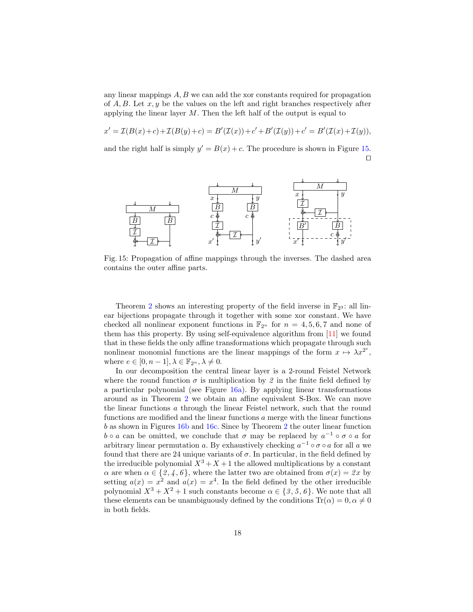any linear mappings  $A, B$  we can add the xor constants required for propagation of  $A, B$ . Let  $x, y$  be the values on the left and right branches respectively after applying the linear layer  $M$ . Then the left half of the output is equal to

$$
x' = \mathcal{I}(B(x) + c) + \mathcal{I}(B(y) + c) = B'(\mathcal{I}(x)) + c' + B'(\mathcal{I}(y)) + c' = B'(\mathcal{I}(x) + \mathcal{I}(y)),
$$

and the right half is simply  $y' = B(x) + c$ . The procedure is shown in Figure [15.](#page-17-0) ⊓⊔

<span id="page-17-0"></span>

Fig. 15: Propagation of affine mappings through the inverses. The dashed area contains the outer affine parts.

Theorem [2](#page-14-1) shows an interesting property of the field inverse in  $\mathbb{F}_{2^3}$ : all linear bijections propagate through it together with some xor constant. We have checked all nonlinear exponent functions in  $\mathbb{F}_{2^n}$  for  $n = 4, 5, 6, 7$  and none of them has this property. By using self-equivalence algorithm from [\[11\]](#page-31-2) we found that in these fields the only affine transformations which propagate through such nonlinear monomial functions are the linear mappings of the form  $x \mapsto \lambda x^{2^e}$ , where  $e \in [0, n-1], \lambda \in \mathbb{F}_{2^n}, \lambda \neq 0$ .

In our decomposition the central linear layer is a 2-round Feistel Network where the round function  $\sigma$  is multiplication by 2 in the finite field defined by a particular polynomial (see Figure [16a\)](#page-18-1). By applying linear transformations around as in Theorem [2](#page-14-1) we obtain an affine equivalent S-Box. We can move the linear functions  $a$  through the linear Feistel network, such that the round functions are modified and the linear functions  $a$  merge with the linear functions  $b$  as shown in Figures [16b](#page-18-1) and [16c.](#page-18-1) Since by Theorem [2](#page-14-1) the outer linear function  $b \circ a$  can be omitted, we conclude that  $\sigma$  may be replaced by  $a^{-1} \circ \sigma \circ a$  for arbitrary linear permutation a. By exhaustively checking  $a^{-1} \circ \sigma \circ a$  for all a we found that there are 24 unique variants of  $\sigma$ . In particular, in the field defined by the irreducible polynomial  $X^3 + X + 1$  the allowed multiplications by a constant  $\alpha$  are when  $\alpha \in \{2, 4, 6\}$ , where the latter two are obtained from  $\sigma(x) = 2x$  by setting  $a(x) = x^2$  and  $a(x) = x^4$ . In the field defined by the other irreducible polynomial  $X^3 + X^2 + 1$  such constants become  $\alpha \in \{3, 5, 6\}$ . We note that all these elements can be unambiguously defined by the conditions  $Tr(\alpha) = 0, \alpha \neq 0$ in both fields.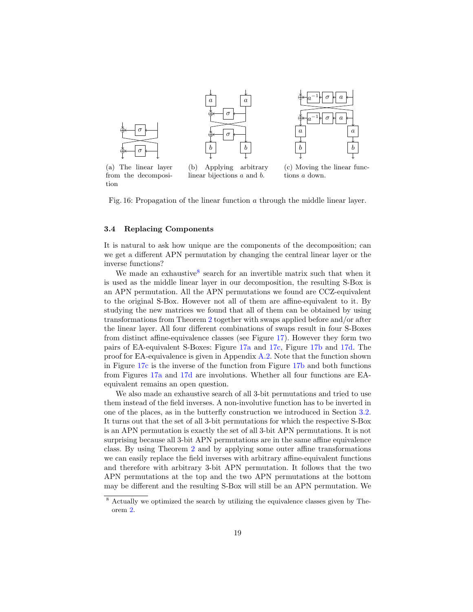<span id="page-18-1"></span>

Fig. 16: Propagation of the linear function  $a$  through the middle linear layer.

### <span id="page-18-0"></span>3.4 Replacing Components

It is natural to ask how unique are the components of the decomposition; can we get a different APN permutation by changing the central linear layer or the inverse functions?

We made an exhaustive<sup>[8](#page-18-2)</sup> search for an invertible matrix such that when it is used as the middle linear layer in our decomposition, the resulting S-Box is an APN permutation. All the APN permutations we found are CCZ-equivalent to the original S-Box. However not all of them are affine-equivalent to it. By studying the new matrices we found that all of them can be obtained by using transformations from Theorem [2](#page-14-1) together with swaps applied before and/or after the linear layer. All four different combinations of swaps result in four S-Boxes from distinct affine-equivalence classes (see Figure [17\)](#page-19-2). However they form two pairs of EA-equivalent S-Boxes: Figure [17a](#page-19-2) and [17c,](#page-19-2) Figure [17b](#page-19-2) and [17d.](#page-19-2) The proof for EA-equivalence is given in Appendix  $A.2$ . Note that the function shown in Figure [17c](#page-19-2) is the inverse of the function from Figure [17b](#page-19-2) and both functions from Figures [17a](#page-19-2) and [17d](#page-19-2) are involutions. Whether all four functions are EAequivalent remains an open question.

We also made an exhaustive search of all 3-bit permutations and tried to use them instead of the field inverses. A non-involutive function has to be inverted in one of the places, as in the butterfly construction we introduced in Section [3.2.](#page-12-0) It turns out that the set of all 3-bit permutations for which the respective S-Box is an APN permutation is exactly the set of all 3-bit APN permutations. It is not surprising because all 3-bit APN permutations are in the same affine equivalence class. By using Theorem [2](#page-14-1) and by applying some outer affine transformations we can easily replace the field inverses with arbitrary affine-equivalent functions and therefore with arbitrary 3-bit APN permutation. It follows that the two APN permutations at the top and the two APN permutations at the bottom may be different and the resulting S-Box will still be an APN permutation. We

<span id="page-18-2"></span><sup>&</sup>lt;sup>8</sup> Actually we optimized the search by utilizing the equivalence classes given by Theorem [2.](#page-14-1)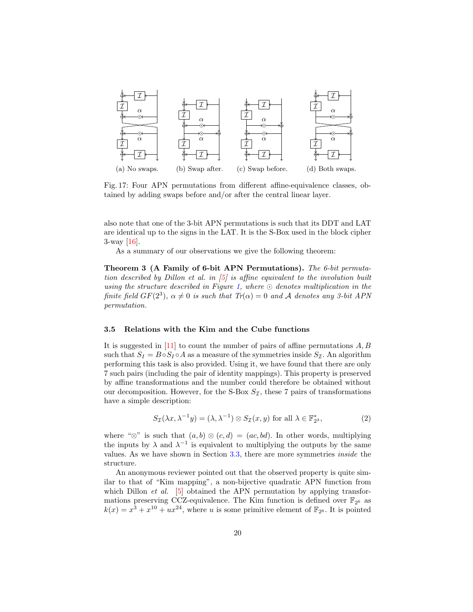<span id="page-19-2"></span>

Fig. 17: Four APN permutations from different affine-equivalence classes, obtained by adding swaps before and/or after the central linear layer.

also note that one of the 3-bit APN permutations is such that its DDT and LAT are identical up to the signs in the LAT. It is the S-Box used in the block cipher 3-way [\[16\]](#page-31-8).

As a summary of our observations we give the following theorem:

<span id="page-19-0"></span>Theorem 3 (A Family of 6-bit APN Permutations). The 6-bit permutation described by Dillon et al. in  $\vert 5 \vert$  is affine equivalent to the involution built using the structure described in Figure [1,](#page-1-0) where  $\odot$  denotes multiplication in the finite field  $GF(2^3)$ ,  $\alpha \neq 0$  is such that  $Tr(\alpha) = 0$  and A denotes any 3-bit APN permutation.

#### <span id="page-19-1"></span>3.5 Relations with the Kim and the Cube functions

It is suggested in [\[11\]](#page-31-2) to count the number of pairs of affine permutations  $A, B$ such that  $S_I = B \circ S_I \circ A$  as a measure of the symmetries inside  $S_I$ . An algorithm performing this task is also provided. Using it, we have found that there are only 7 such pairs (including the pair of identity mappings). This property is preserved by affine transformations and the number could therefore be obtained without our decomposition. However, for the S-Box  $S_{\mathcal{I}}$ , these 7 pairs of transformations have a simple description:

<span id="page-19-3"></span>
$$
S_{\mathcal{I}}(\lambda x, \lambda^{-1} y) = (\lambda, \lambda^{-1}) \otimes S_{\mathcal{I}}(x, y) \text{ for all } \lambda \in \mathbb{F}_{2^3}^*,
$$
 (2)

where " $\otimes$ " is such that  $(a, b) \otimes (c, d) = (ac, bd)$ . In other words, multiplying the inputs by  $\lambda$  and  $\lambda^{-1}$  is equivalent to multiplying the outputs by the same values. As we have shown in Section [3.3,](#page-14-0) there are more symmetries inside the structure.

An anonymous reviewer pointed out that the observed property is quite similar to that of "Kim mapping", a non-bijective quadratic APN function from which Dillon *et al.* [\[5\]](#page-30-4) obtained the APN permutation by applying transformations preserving CCZ-equivalence. The Kim function is defined over  $\mathbb{F}_{2^6}$  as  $k(x) = x^3 + x^{10} + ux^{24}$ , where u is some primitive element of  $\mathbb{F}_{2^6}$ . It is pointed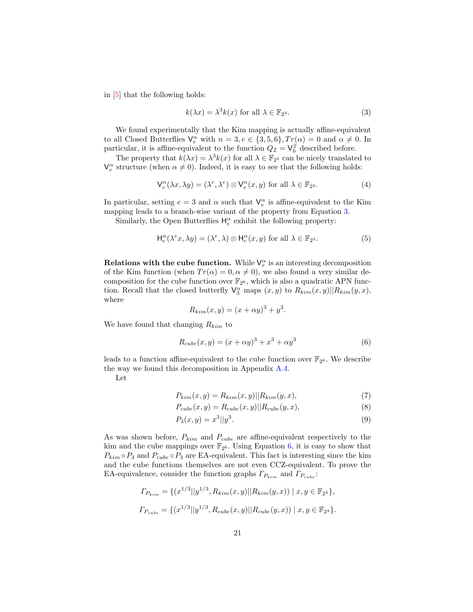in [\[5\]](#page-30-4) that the following holds:

<span id="page-20-0"></span>
$$
k(\lambda x) = \lambda^3 k(x) \text{ for all } \lambda \in \mathbb{F}_{2^3}.
$$
 (3)

We found experimentally that the Kim mapping is actually affine-equivalent to all Closed Butterflies  $\mathsf{V}_{e}^{\alpha}$  with  $n=3, e \in \{3, 5, 6\}, Tr(\alpha) = 0$  and  $\alpha \neq 0$ . In particular, it is affine-equivalent to the function  $Q_{\mathcal{I}} = \mathsf{V}_{6}^{\mathcal{Z}}$  described before.

The property that  $k(\lambda x) = \lambda^3 k(x)$  for all  $\lambda \in \mathbb{F}_{2^3}$  can be nicely translated to  $\mathsf{V}_{e}^{\alpha}$  structure (when  $\alpha \neq 0$ ). Indeed, it is easy to see that the following holds:

$$
\mathsf{V}_{e}^{\alpha}(\lambda x, \lambda y) = (\lambda^{e}, \lambda^{e}) \otimes \mathsf{V}_{e}^{\alpha}(x, y) \text{ for all } \lambda \in \mathbb{F}_{2^{3}}.
$$
 (4)

In particular, setting  $e = 3$  and  $\alpha$  such that  $V_e^{\alpha}$  is affine-equivalent to the Kim mapping leads to a branch-wise variant of the property from Equation [3.](#page-20-0)

Similarly, the Open Butterflies  $\mathsf{H}_e^\alpha$  exhibit the following property:

$$
\mathsf{H}_{e}^{\alpha}(\lambda^{e} x, \lambda y) = (\lambda^{e}, \lambda) \otimes \mathsf{H}_{e}^{\alpha}(x, y) \text{ for all } \lambda \in \mathbb{F}_{2^{3}}.
$$
 (5)

Relations with the cube function. While  $V_e^{\alpha}$  is an interesting decomposition of the Kim function (when  $Tr(\alpha) = 0, \alpha \neq 0$ ), we also found a very similar decomposition for the cube function over  $\mathbb{F}_{2^6}$ , which is also a quadratic APN function. Recall that the closed butterfly  $\mathsf{V}_{3}^{\alpha}$  maps  $(x, y)$  to  $R_{kim}(x, y)||R_{kim}(y, x)$ , where

$$
R_{kim}(x, y) = (x + \alpha y)^3 + y^3
$$

We have found that changing  $R_{kim}$  to

<span id="page-20-1"></span>
$$
R_{cube}(x,y) = (x + \alpha y)^3 + x^3 + \alpha y^3 \tag{6}
$$

.

leads to a function affine-equivalent to the cube function over  $\mathbb{F}_{2^6}$ . We describe the way we found this decomposition in Appendix [A.4.](#page-35-0)

Let

$$
P_{kim}(x,y) = R_{kim}(x,y)||R_{kim}(y,x),
$$
\n
$$
(7)
$$

$$
P_{cube}(x,y) = R_{cube}(x,y)||R_{cube}(y,x),
$$
\n(8)

$$
P_3(x, y) = x^3 ||y^3.
$$
\n(9)

As was shown before,  $P_{kim}$  and  $P_{cube}$  are affine-equivalent respectively to the kim and the cube mappings over  $\mathbb{F}_{2^6}$ . Using Equation [6,](#page-20-1) it is easy to show that  $P_{kim} \circ P_3$  and  $P_{cube} \circ P_3$  are EA-equivalent. This fact is interesting since the kim and the cube functions themselves are not even CCZ-equivalent. To prove the EA-equivalence, consider the function graphs  $\Gamma_{P_{\text{kim}}}$  and  $\Gamma_{P_{\text{cube}}}$ :

$$
\Gamma_{P_{kim}} = \{ (x^{1/3}||y^{1/3}, R_{kim}(x, y)||R_{kim}(y, x)) \mid x, y \in \mathbb{F}_{2^3} \},
$$
  

$$
\Gamma_{P_{cube}} = \{ (x^{1/3}||y^{1/3}, R_{cube}(x, y)||R_{cube}(y, x)) \mid x, y \in \mathbb{F}_{2^3} \}.
$$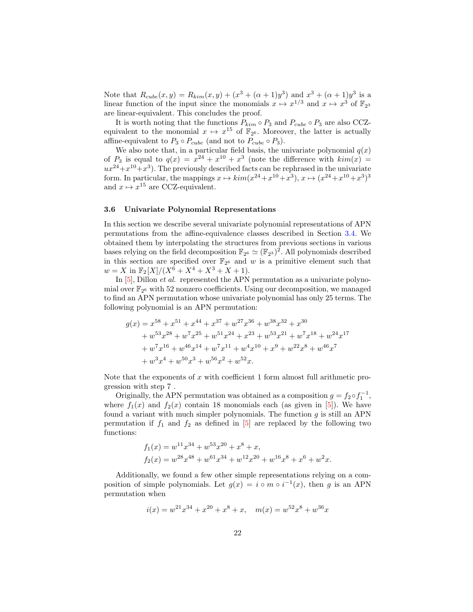Note that  $R_{cube}(x, y) = R_{kim}(x, y) + (x^3 + (\alpha + 1)y^3)$  and  $x^3 + (\alpha + 1)y^3$  is a linear function of the input since the monomials  $x \mapsto x^{1/3}$  and  $x \mapsto x^3$  of  $\mathbb{F}_{2^3}$ are linear-equivalent. This concludes the proof.

It is worth noting that the functions  $P_{kim} \circ P_3$  and  $P_{cube} \circ P_3$  are also CCZequivalent to the monomial  $x \mapsto x^{15}$  of  $\mathbb{F}_{2^6}$ . Moreover, the latter is actually affine-equivalent to  $P_3 \circ P_{cube}$  (and not to  $P_{cube} \circ P_3$ ).

We also note that, in a particular field basis, the univariate polynomial  $q(x)$ of  $P_3$  is equal to  $q(x) = x^{24} + x^{10} + x^3$  (note the difference with  $kim(x)$  $ux^{24}+x^{10}+x^3$ ). The previously described facts can be rephrased in the univariate form. In particular, the mappings  $x \mapsto \text{kim}(x^{24} + x^{10} + x^3), x \mapsto (x^{24} + x^{10} + x^3)^3$ and  $x \mapsto x^{15}$  are CCZ-equivalent.

#### <span id="page-21-0"></span>3.6 Univariate Polynomial Representations

In this section we describe several univariate polynomial representations of APN permutations from the affine-equivalence classes described in Section [3.4.](#page-18-0) We obtained them by interpolating the structures from previous sections in various bases relying on the field decomposition  $\mathbb{F}_{2^6} \simeq (\mathbb{F}_{2^3})^2$ . All polynomials described in this section are specified over  $\mathbb{F}_{2^6}$  and w is a primitive element such that  $w = X \text{ in } \mathbb{F}_2[X]/(X^6 + X^4 + X^3 + X + 1).$ 

In [\[5\]](#page-30-4), Dillon *et al.* represented the APN permutation as a univariate polynomial over  $\mathbb{F}_{2^6}$  with 52 nonzero coefficients. Using our decomposition, we managed to find an APN permutation whose univariate polynomial has only 25 terms. The following polynomial is an APN permutation:

$$
\begin{aligned} g(x) &= x^{58} + x^{51} + x^{44} + x^{37} + w^{27}x^{36} + w^{38}x^{32} + x^{30} \\ &+ w^{53}x^{28} + w^{7}x^{25} + w^{51}x^{24} + x^{23} + w^{53}x^{21} + w^{7}x^{18} + w^{24}x^{17} \\ &+ w^{7}x^{16} + w^{46}x^{14} + w^{7}x^{11} + w^{4}x^{10} + x^{9} + w^{22}x^{8} + w^{46}x^{7} \\ &+ w^{3}x^{4} + w^{50}x^{3} + w^{56}x^{2} + w^{52}x. \end{aligned}
$$

Note that the exponents of  $x$  with coefficient 1 form almost full arithmetic progression with step 7 .

Originally, the APN permutation was obtained as a composition  $g = f_2 \circ f_1^{-1}$ , where  $f_1(x)$  and  $f_2(x)$  contain 18 monomials each (as given in [\[5\]](#page-30-4)). We have found a variant with much simpler polynomials. The function  $g$  is still an APN permutation if  $f_1$  and  $f_2$  as defined in [\[5\]](#page-30-4) are replaced by the following two functions:

$$
f_1(x) = w^{11}x^{34} + w^{53}x^{20} + x^8 + x,
$$
  
\n
$$
f_2(x) = w^{28}x^{48} + w^{61}x^{34} + w^{12}x^{20} + w^{16}x^8 + x^6 + w^2x.
$$

Additionally, we found a few other simple representations relying on a composition of simple polynomials. Let  $g(x) = i \circ m \circ i^{-1}(x)$ , then g is an APN permutation when

$$
i(x) = w^{21}x^{34} + x^{20} + x^8 + x, \quad m(x) = w^{52}x^8 + w^{36}x
$$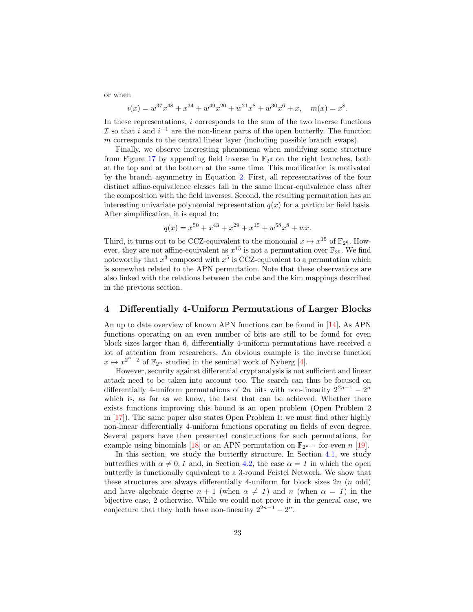or when

$$
i(x) = w^{37}x^{48} + x^{34} + w^{49}x^{20} + w^{21}x^8 + w^{30}x^6 + x, \quad m(x) = x^8.
$$

In these representations,  $i$  corresponds to the sum of the two inverse functions  $\mathcal I$  so that i and  $i^{-1}$  are the non-linear parts of the open butterfly. The function  $m$  corresponds to the central linear layer (including possible branch swaps).

Finally, we observe interesting phenomena when modifying some structure from Figure [17](#page-19-2) by appending field inverse in  $\mathbb{F}_{2^3}$  on the right branches, both at the top and at the bottom at the same time. This modification is motivated by the branch asymmetry in Equation [2.](#page-19-3) First, all representatives of the four distinct affine-equivalence classes fall in the same linear-equivalence class after the composition with the field inverses. Second, the resulting permutation has an interesting univariate polynomial representation  $q(x)$  for a particular field basis. After simplification, it is equal to:

$$
q(x) = x^{50} + x^{43} + x^{29} + x^{15} + w^{58}x^8 + wx.
$$

Third, it turns out to be CCZ-equivalent to the monomial  $x \mapsto x^{15}$  of  $\mathbb{F}_{2^6}$ . However, they are not affine-equivalent as  $x^{15}$  is not a permutation over  $\mathbb{F}_{2^6}$ . We find noteworthy that  $x^3$  composed with  $x^5$  is CCZ-equivalent to a permutation which is somewhat related to the APN permutation. Note that these observations are also linked with the relations between the cube and the kim mappings described in the previous section.

### <span id="page-22-0"></span>4 Differentially 4-Uniform Permutations of Larger Blocks

An up to date overview of known APN functions can be found in [\[14\]](#page-31-6). As APN functions operating on an even number of bits are still to be found for even block sizes larger than 6, differentially 4-uniform permutations have received a lot of attention from researchers. An obvious example is the inverse function  $x \mapsto x^{2^n-2}$  of  $\mathbb{F}_{2^n}$  studied in the seminal work of Nyberg [\[4\]](#page-30-3).

However, security against differential cryptanalysis is not sufficient and linear attack need to be taken into account too. The search can thus be focused on differentially 4-uniform permutations of 2n bits with non-linearity  $2^{2n-1} - 2^n$ which is, as far as we know, the best that can be achieved. Whether there exists functions improving this bound is an open problem (Open Problem 2 in [\[17\]](#page-31-9)). The same paper also states Open Problem 1: we must find other highly non-linear differentially 4-uniform functions operating on fields of even degree. Several papers have then presented constructions for such permutations, for example using binomials [\[18\]](#page-31-10) or an APN permutation on  $\mathbb{F}_{2^{n+1}}$  for even n [\[19\]](#page-31-11).

In this section, we study the butterfly structure. In Section [4.1,](#page-23-0) we study butterflies with  $\alpha \neq 0, 1$  and, in Section [4.2,](#page-26-0) the case  $\alpha = 1$  in which the open butterfly is functionally equivalent to a 3-round Feistel Network. We show that these structures are always differentially 4-uniform for block sizes  $2n$  ( $n$  odd) and have algebraic degree  $n + 1$  (when  $\alpha \neq 1$ ) and  $n$  (when  $\alpha = 1$ ) in the bijective case, 2 otherwise. While we could not prove it in the general case, we conjecture that they both have non-linearity  $2^{2n-1} - 2^n$ .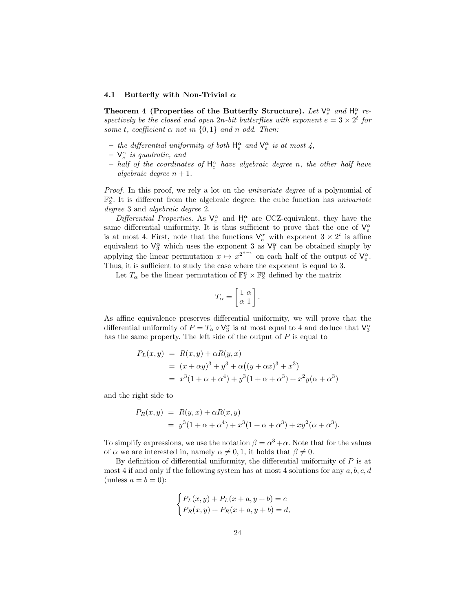#### <span id="page-23-0"></span>4.1 Butterfly with Non-Trivial  $\alpha$

<span id="page-23-1"></span>Theorem 4 (Properties of the Butterfly Structure). Let  $V_e^{\alpha}$  and  $H_e^{\alpha}$  respectively be the closed and open 2n-bit butterflies with exponent  $e = 3 \times 2^t$  for some t, coefficient  $\alpha$  not in  $\{0,1\}$  and n odd. Then:

- the differential uniformity of both  $H_e^{\alpha}$  and  $V_e^{\alpha}$  is at most 4,
- $\mathsf{V}_{e}^{\alpha}$  is quadratic, and
- $-$  half of the coordinates of  $H_e^{\alpha}$  have algebraic degree n, the other half have algebraic degree  $n + 1$ .

Proof. In this proof, we rely a lot on the *univariate degree* of a polynomial of  $\mathbb{F}_2^n$ . It is different from the algebraic degree: the cube function has *univariate* degree 3 and algebraic degree 2.

Differential Properties. As  $V_e^{\alpha}$  and  $H_e^{\alpha}$  are CCZ-equivalent, they have the same differential uniformity. It is thus sufficient to prove that the one of  $V_e^{\alpha}$ is at most 4. First, note that the functions  $V_e^{\alpha}$  with exponent  $3 \times 2^t$  is affine equivalent to  $\mathsf{V}_{3}^{\alpha}$  which uses the exponent 3 as  $\mathsf{V}_{3}^{\alpha}$  can be obtained simply by applying the linear permutation  $x \mapsto x^{2^{n-t}}$  on each half of the output of  $\mathsf{V}_e^{\alpha}$ . Thus, it is sufficient to study the case where the exponent is equal to 3.

Let  $T_{\alpha}$  be the linear permutation of  $\mathbb{F}_2^n \times \mathbb{F}_2^n$  defined by the matrix

$$
T_{\alpha} = \begin{bmatrix} 1 & \alpha \\ \alpha & 1 \end{bmatrix}.
$$

As affine equivalence preserves differential uniformity, we will prove that the differential uniformity of  $P = T_\alpha \circ V_3^\alpha$  is at most equal to 4 and deduce that  $V_3^\alpha$ has the same property. The left side of the output of  $P$  is equal to

$$
P_L(x, y) = R(x, y) + \alpha R(y, x)
$$
  
=  $(x + \alpha y)^3 + y^3 + \alpha ((y + \alpha x)^3 + x^3)$   
=  $x^3(1 + \alpha + \alpha^4) + y^3(1 + \alpha + \alpha^3) + x^2y(\alpha + \alpha^3)$ 

and the right side to

$$
P_R(x, y) = R(y, x) + \alpha R(x, y)
$$
  
=  $y^3(1 + \alpha + \alpha^4) + x^3(1 + \alpha + \alpha^3) + xy^2(\alpha + \alpha^3)$ .

To simplify expressions, we use the notation  $\beta = \alpha^3 + \alpha$ . Note that for the values of  $\alpha$  we are interested in, namely  $\alpha \neq 0, 1$ , it holds that  $\beta \neq 0$ .

By definition of differential uniformity, the differential uniformity of  $P$  is at most 4 if and only if the following system has at most 4 solutions for any  $a, b, c, d$ (unless  $a = b = 0$ ):

$$
\begin{cases} P_L(x,y) + P_L(x+a, y+b) = c \\ P_R(x,y) + P_R(x+a, y+b) = d, \end{cases}
$$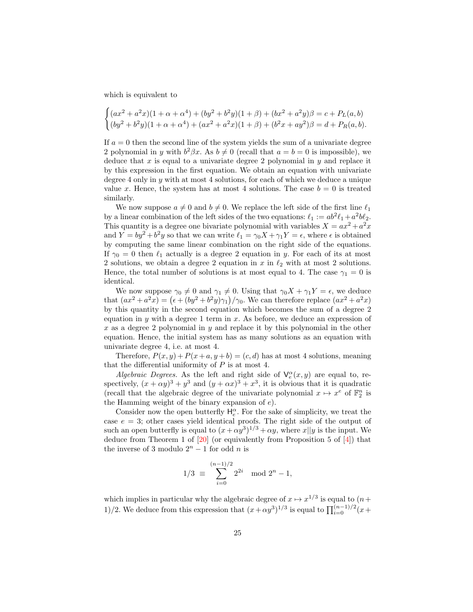which is equivalent to

$$
\begin{cases} (ax^2 + a^2x)(1 + \alpha + \alpha^4) + (by^2 + b^2y)(1 + \beta) + (bx^2 + a^2y)\beta = c + P_L(a, b) \\ (by^2 + b^2y)(1 + \alpha + \alpha^4) + (ax^2 + a^2x)(1 + \beta) + (b^2x + ay^2)\beta = d + P_R(a, b). \end{cases}
$$

If  $a = 0$  then the second line of the system yields the sum of a univariate degree 2 polynomial in y with  $b^2\beta x$ . As  $b \neq 0$  (recall that  $a = b = 0$  is impossible), we deduce that  $x$  is equal to a univariate degree 2 polynomial in  $y$  and replace it by this expression in the first equation. We obtain an equation with univariate degree 4 only in  $y$  with at most 4 solutions, for each of which we deduce a unique value x. Hence, the system has at most 4 solutions. The case  $b = 0$  is treated similarly.

We now suppose  $a \neq 0$  and  $b \neq 0$ . We replace the left side of the first line  $\ell_1$ by a linear combination of the left sides of the two equations:  $\ell_1 := ab^2 \ell_1 + a^2 b \ell_2$ . This quantity is a degree one bivariate polynomial with variables  $X = ax^2 + a^2x$ and  $Y = by^2 + b^2y$  so that we can write  $\ell_1 = \gamma_0 X + \gamma_1 Y = \epsilon$ , where  $\epsilon$  is obtained by computing the same linear combination on the right side of the equations. If  $\gamma_0 = 0$  then  $\ell_1$  actually is a degree 2 equation in y. For each of its at most 2 solutions, we obtain a degree 2 equation in  $x$  in  $\ell_2$  with at most 2 solutions. Hence, the total number of solutions is at most equal to 4. The case  $\gamma_1 = 0$  is identical.

We now suppose  $\gamma_0 \neq 0$  and  $\gamma_1 \neq 0$ . Using that  $\gamma_0 X + \gamma_1 Y = \epsilon$ , we deduce that  $(ax^2 + a^2x) = (\epsilon + (by^2 + b^2y)\gamma_1)/\gamma_0$ . We can therefore replace  $(ax^2 + a^2x)$ by this quantity in the second equation which becomes the sum of a degree 2 equation in  $y$  with a degree 1 term in  $x$ . As before, we deduce an expression of x as a degree 2 polynomial in  $y$  and replace it by this polynomial in the other equation. Hence, the initial system has as many solutions as an equation with univariate degree 4, i.e. at most 4.

Therefore,  $P(x, y) + P(x + a, y + b) = (c, d)$  has at most 4 solutions, meaning that the differential uniformity of  $P$  is at most 4.

Algebraic Degrees. As the left and right side of  $\mathsf{V}_e^{\alpha}(x, y)$  are equal to, respectively,  $(x + \alpha y)^3 + y^3$  and  $(y + \alpha x)^3 + x^3$ , it is obvious that it is quadratic (recall that the algebraic degree of the univariate polynomial  $x \mapsto x^e$  of  $\mathbb{F}_2^n$  is the Hamming weight of the binary expansion of  $e$ ).

Consider now the open butterfly  $\mathsf{H}_{e}^{\alpha}$ . For the sake of simplicity, we treat the case  $e = 3$ ; other cases yield identical proofs. The right side of the output of such an open butterfly is equal to  $(x + \alpha y^3)^{1/3} + \alpha y$ , where  $x||y$  is the input. We deduce from Theorem 1 of [\[20\]](#page-31-12) (or equivalently from Proposition 5 of [\[4\]](#page-30-3)) that the inverse of 3 modulo  $2<sup>n</sup> - 1$  for odd *n* is

$$
1/3 \equiv \sum_{i=0}^{(n-1)/2} 2^{2i} \mod 2^n - 1,
$$

which implies in particular why the algebraic degree of  $x \mapsto x^{1/3}$  is equal to  $(n +$ 1)/2. We deduce from this expression that  $(x + \alpha y^3)^{1/3}$  is equal to  $\prod_{i=0}^{(n-1)/2} (x +$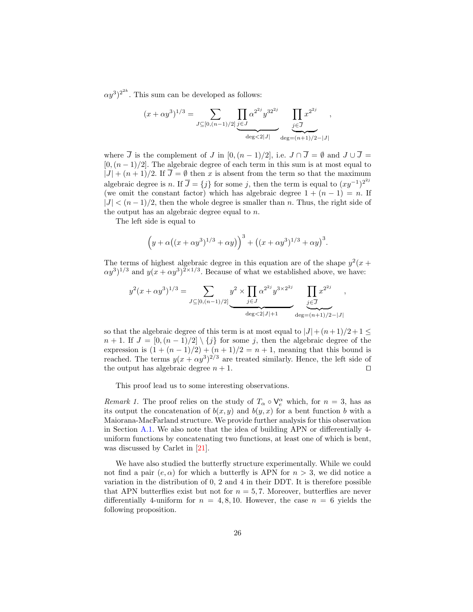$(\alpha y^3)^{2^{2k}}$ . This sum can be developed as follows:

$$
(x + \alpha y^3)^{1/3} = \sum_{J \subseteq [0, (n-1)/2]} \underbrace{\prod_{j \in J} \alpha^{2^{2j}} y^{32^{2j}}}_{\deg \langle 2|J|} \underbrace{\prod_{j \in J} x^{2^{2j}}}_{\deg = (n+1)/2 - |J|},
$$

where  $\overline{J}$  is the complement of  $J$  in [0,  $(n-1)/2$ ], i.e.  $J \cap \overline{J} = \emptyset$  and  $J \cup \overline{J} =$  $[0,(n-1)/2]$ . The algebraic degree of each term in this sum is at most equal to  $|J| + (n + 1)/2$ . If  $\overline{J} = \emptyset$  then x is absent from the term so that the maximum algebraic degree is *n*. If  $\overline{J} = \{j\}$  for some *j*, then the term is equal to  $(xy^{-1})^{2^{2j}}$ (we omit the constant factor) which has algebraic degree  $1 + (n - 1) = n$ . If  $|J| < (n-1)/2$ , then the whole degree is smaller than n. Thus, the right side of the output has an algebraic degree equal to  $n$ .

The left side is equal to

$$
(y + \alpha((x + \alpha y^3)^{1/3} + \alpha y))^3 + ((x + \alpha y^3)^{1/3} + \alpha y)^3.
$$

The terms of highest algebraic degree in this equation are of the shape  $y^2(x +$  $\alpha y^3$ <sup>1/3</sup> and  $y(x + \alpha y^3)^{2 \times 1/3}$ . Because of what we established above, we have:

$$
y^{2}(x+\alpha y^{3})^{1/3} = \sum_{J \subseteq [0,(n-1)/2]} y^{2} \times \prod_{j \in J} \alpha^{2^{2j}} y^{3 \times 2^{2j}} \prod_{j \in J} x^{2^{2j}}
$$

$$
\underbrace{\prod_{j \in J} x^{2^{2j}}}_{\deg \langle 2|J|+1} \prod_{\deg = (n+1)/2 - |J|} x^{2^{2j}}
$$

,

so that the algebraic degree of this term is at most equal to  $|J| + (n+1)/2 + 1 \leq$  $n + 1$ . If  $J = [0, (n - 1)/2] \setminus \{j\}$  for some j, then the algebraic degree of the expression is  $(1 + (n - 1)/2) + (n + 1)/2 = n + 1$ , meaning that this bound is reached. The terms  $y(x + \alpha y^3)^{2/3}$  are treated similarly. Hence, the left side of the output has algebraic degree  $n + 1$ . □

This proof lead us to some interesting observations.

*Remark 1*. The proof relies on the study of  $T_\alpha \circ V_e^\alpha$  which, for  $n = 3$ , has as its output the concatenation of  $b(x, y)$  and  $b(y, x)$  for a bent function b with a Maiorana-MacFarland structure. We provide further analysis for this observation in Section [A.1.](#page-31-4) We also note that the idea of building APN or differentially 4 uniform functions by concatenating two functions, at least one of which is bent, was discussed by Carlet in [\[21\]](#page-31-13).

<span id="page-25-0"></span>We have also studied the butterfly structure experimentally. While we could not find a pair  $(e, \alpha)$  for which a butterfly is APN for  $n > 3$ , we did notice a variation in the distribution of 0, 2 and 4 in their DDT. It is therefore possible that APN butterflies exist but not for  $n = 5, 7$ . Moreover, butterflies are never differentially 4-uniform for  $n = 4, 8, 10$ . However, the case  $n = 6$  yields the following proposition.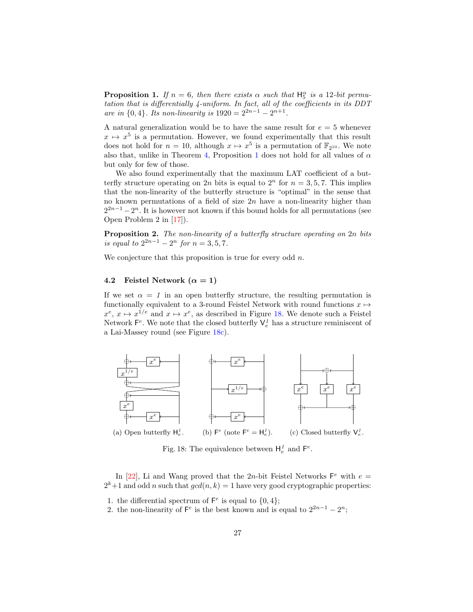**Proposition 1.** If  $n = 6$ , then there exists  $\alpha$  such that  $H_5^{\alpha}$  is a 12-bit permutation that is differentially 4-uniform. In fact, all of the coefficients in its DDT are in  $\{0, 4\}$ . Its non-linearity is  $1920 = 2^{2n-1} - 2^{n+1}$ .

A natural generalization would be to have the same result for  $e = 5$  whenever  $x \mapsto x^5$  is a permutation. However, we found experimentally that this result does not hold for  $n = 10$ , although  $x \mapsto x^5$  is a permutation of  $\mathbb{F}_{2^{10}}$ . We note also that, unlike in Theorem [4,](#page-23-1) Proposition [1](#page-25-0) does not hold for all values of  $\alpha$ but only for few of those.

We also found experimentally that the maximum LAT coefficient of a butterfly structure operating on 2*n* bits is equal to  $2^n$  for  $n = 3, 5, 7$ . This implies that the non-linearity of the butterfly structure is "optimal" in the sense that no known permutations of a field of size  $2n$  have a non-linearity higher than  $2^{2n-1} - 2^n$ . It is however not known if this bound holds for all permutations (see Open Problem 2 in [\[17\]](#page-31-9)).

**Proposition 2.** The non-linearity of a butterfly structure operating on  $2n$  bits is equal to  $2^{2n-1} - 2^n$  for  $n = 3, 5, 7$ .

We conjecture that this proposition is true for every odd  $n$ .

### <span id="page-26-0"></span>4.2 Feistel Network  $(\alpha = 1)$

If we set  $\alpha = 1$  in an open butterfly structure, the resulting permutation is functionally equivalent to a 3-round Feistel Network with round functions  $x \mapsto$  $x^e, x \mapsto x^{1/e}$  and  $x \mapsto x^e$ , as described in Figure [18.](#page-26-1) We denote such a Feistel Network  $\mathsf{F}^e$ . We note that the closed butterfly  $\mathsf{V}_e^1$  has a structure reminiscent of a Lai-Massey round (see Figure [18c\)](#page-26-1).

<span id="page-26-1"></span>

Fig. 18: The equivalence between  $H_e^1$  and  $F_e^e$ .

In [\[22\]](#page-31-14), Li and Wang proved that the 2n-bit Feistel Networks  $F^e$  with  $e =$  $2^{k}+1$  and odd *n* such that  $gcd(n, k) = 1$  have very good cryptographic properties:

- 1. the differential spectrum of  $\mathsf{F}^e$  is equal to  $\{0,4\};$
- 2. the non-linearity of  $\mathsf{F}^e$  is the best known and is equal to  $2^{2n-1} 2^n$ ;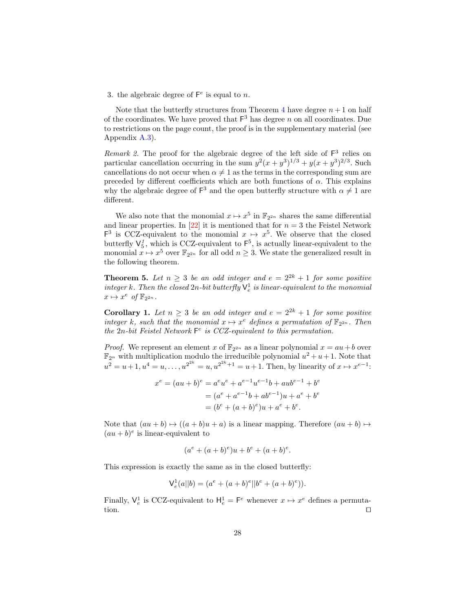3. the algebraic degree of  $\mathsf{F}^e$  is equal to n.

Note that the butterfly structures from Theorem [4](#page-23-1) have degree  $n+1$  on half of the coordinates. We have proved that  $F^3$  has degree n on all coordinates. Due to restrictions on the page count, the proof is in the supplementary material (see Appendix [A.3\)](#page-34-0).

Remark 2. The proof for the algebraic degree of the left side of  $F<sup>3</sup>$  relies on particular cancellation occurring in the sum  $y^2(x+y^3)^{1/3} + y(x+y^3)^{2/3}$ . Such cancellations do not occur when  $\alpha \neq 1$  as the terms in the corresponding sum are preceded by different coefficients which are both functions of  $\alpha$ . This explains why the algebraic degree of  $F^3$  and the open butterfly structure with  $\alpha \neq 1$  are different.

We also note that the monomial  $x \mapsto x^5$  in  $\mathbb{F}_{2^{2n}}$  shares the same differential and linear properties. In  $[22]$  it is mentioned that for  $n=3$  the Feistel Network  $F^3$  is CCZ-equivalent to the monomial  $x \mapsto x^5$ . We observe that the closed butterfly  $\mathsf{V}_{5}^{1}$ , which is CCZ-equivalent to  $\mathsf{F}^{5}$ , is actually linear-equivalent to the monomial  $x \mapsto x^5$  over  $\mathbb{F}_{2^{2n}}$  for all odd  $n \geq 3$ . We state the generalized result in the following theorem.

**Theorem 5.** Let  $n \geq 3$  be an odd integer and  $e = 2^{2k} + 1$  for some positive integer k. Then the closed  $2n$ -bit butterfly  $\mathsf{V}_{e}^{1}$  is linear-equivalent to the monomial  $x \mapsto x^e \text{ of } \mathbb{F}_{2^{2n}}.$ 

**Corollary 1.** Let  $n \geq 3$  be an odd integer and  $e = 2^{2k} + 1$  for some positive integer k, such that the monomial  $x \mapsto x^e$  defines a permutation of  $\mathbb{F}_{2^{2n}}$ . Then the  $2n$ -bit Feistel Network  $F^e$  is CCZ-equivalent to this permutation.

*Proof.* We represent an element x of  $\mathbb{F}_{2^{2n}}$  as a linear polynomial  $x = au + b$  over  $\mathbb{F}_{2^n}$  with multiplication modulo the irreducible polynomial  $u^2 + u + 1$ . Note that  $u^2 = u + 1, u^4 = u, \ldots, u^{2^{2k}} = u, u^{2^{2k}+1} = u + 1$ . Then, by linearity of  $x \mapsto x^{e-1}$ :

$$
x^{e} = (au + b)^{e} = a^{e}u^{e} + a^{e-1}u^{e-1}b + aub^{e-1} + b^{e}
$$
  
=  $(a^{e} + a^{e-1}b + ab^{e-1})u + a^{e} + b^{e}$   
=  $(b^{e} + (a + b)^{e})u + a^{e} + b^{e}$ .

Note that  $(au + b) \mapsto ((a + b)u + a)$  is a linear mapping. Therefore  $(au + b) \mapsto$  $(au + b)^e$  is linear-equivalent to

$$
(a^e + (a+b)^e)u + b^e + (a+b)^e.
$$

This expression is exactly the same as in the closed butterfly:

$$
V_e^1(a||b) = (a^e + (a+b)^e||b^e + (a+b)^e)).
$$

Finally,  $\mathsf{V}_{e}^{1}$  is CCZ-equivalent to  $\mathsf{H}_{e}^{1} = \mathsf{F}^{e}$  whenever  $x \mapsto x^{e}$  defines a permutation. ⊓⊔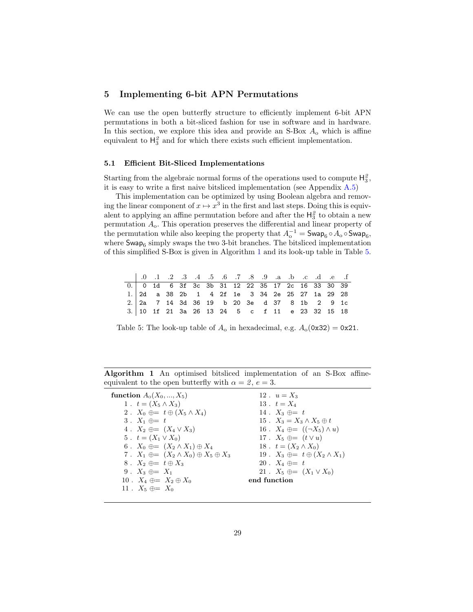### <span id="page-28-0"></span>5 Implementing 6-bit APN Permutations

We can use the open butterfly structure to efficiently implement 6-bit APN permutations in both a bit-sliced fashion for use in software and in hardware. In this section, we explore this idea and provide an S-Box  $A_0$  which is affine equivalent to  $H_3^2$  and for which there exists such efficient implementation.

#### 5.1 Efficient Bit-Sliced Implementations

Starting from the algebraic normal forms of the operations used to compute  $H_3^2$ , it is easy to write a first naive bitsliced implementation (see Appendix [A.5\)](#page-37-0)

This implementation can be optimized by using Boolean algebra and removing the linear component of  $x \mapsto x^3$  in the first and last steps. Doing this is equivalent to applying an affine permutation before and after the  $H_3^2$  to obtain a new permutation  $A_0$ . This operation preserves the differential and linear property of the permutation while also keeping the property that  $A_0^{-1} = \mathsf{Swap}_6 \circ A_0 \circ \mathsf{Swap}_6,$ where  $\mathsf{Swap}_6$  simply swaps the two 3-bit branches. The bitsliced implementation of this simplified S-Box is given in Algorithm [1](#page-28-1) and its look-up table in Table [5.](#page-28-2)

<span id="page-28-2"></span>

|                                                                                               |  |  |  |  |  |  |  | 1. 9 .0 .1 .2 .3 .4 .5 .6 .7 .8 .9 .a .b .c .d .e .f |
|-----------------------------------------------------------------------------------------------|--|--|--|--|--|--|--|------------------------------------------------------|
| 0. 0 1d 6 3f 3c 3b 31 12 22 35 17 2c 16 33 30 39                                              |  |  |  |  |  |  |  |                                                      |
| 1. 2d a 38 2b 1 4 2f 1e 3 34 2e 25 27 1a 29 28                                                |  |  |  |  |  |  |  |                                                      |
| $2.   2a \t 7 \t 14 \t 3d \t 36 \t 19 \t b \t 20 \t 3e \t d \t 37 \t 8 \t 1b \t 2 \t 9 \t 1c$ |  |  |  |  |  |  |  |                                                      |
| 3. 10 1f 21 3a 26 13 24 5 c f 11 e 23 32 15 18                                                |  |  |  |  |  |  |  |                                                      |

Table 5: The look-up table of  $A_0$  in hexadecimal, e.g.  $A_0$ (0x32) = 0x21.

Algorithm 1 An optimised bitsliced implementation of an S-Box affineequivalent to the open butterfly with  $\alpha = 2$ ,  $e = 3$ .

<span id="page-28-1"></span>

| function $A_0(X_0, , X_5)$                               | 12. $u = X_3$                                |
|----------------------------------------------------------|----------------------------------------------|
| 1. $t = (X_5 \wedge X_3)$                                | 13. $t = X_4$                                |
| 2. $X_0 \oplus = t \oplus (X_5 \wedge X_4)$              | 14. $X_3 \oplus t = t$                       |
| $3. X_1 \oplus t$                                        | 15. $X_3 = X_3 \wedge X_5 \oplus t$          |
| 4. $X_2 \oplus = (X_4 \vee X_3)$                         | 16. $X_4 \oplus = ((\neg X_5) \wedge u)$     |
| 5. $t = (X_1 \vee X_0)$                                  | 17. $X_5 \oplus = (t \vee u)$                |
| 6. $X_0 \oplus = (X_2 \wedge X_1) \oplus X_4$            | 18. $t = (X_2 \wedge X_0)$                   |
| 7. $X_1 \oplus = (X_2 \wedge X_0) \oplus X_5 \oplus X_3$ | 19. $X_3 \oplus = t \oplus (X_2 \wedge X_1)$ |
| 8. $X_2 \oplus = t \oplus X_3$                           | 20. $X_4 \oplus t = t$                       |
| 9. $X_3 \oplus = X_1$                                    | 21 . $X_5 \oplus = (X_1 \vee X_0)$           |
| 10. $X_4 \oplus = X_2 \oplus X_0$                        | end function                                 |
| 11. $X_5 \oplus = X_0$                                   |                                              |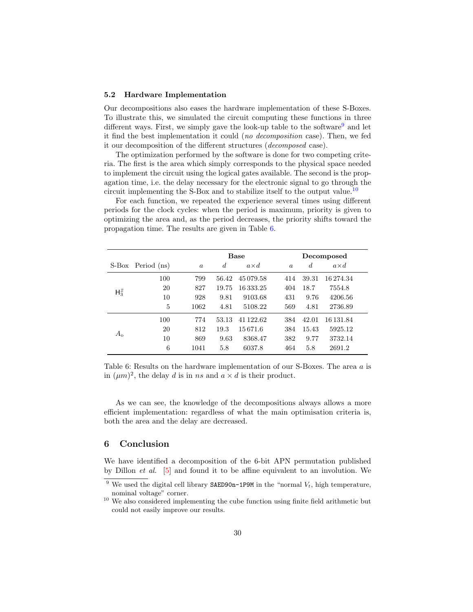#### 5.2 Hardware Implementation

Our decompositions also eases the hardware implementation of these S-Boxes. To illustrate this, we simulated the circuit computing these functions in three different ways. First, we simply gave the look-up table to the software<sup>[9](#page-29-0)</sup> and let it find the best implementation it could (no decomposition case). Then, we fed it our decomposition of the different structures (decomposed case).

The optimization performed by the software is done for two competing criteria. The first is the area which simply corresponds to the physical space needed to implement the circuit using the logical gates available. The second is the propagation time, i.e. the delay necessary for the electronic signal to go through the circuit implementing the S-Box and to stabilize itself to the output value.<sup>[10](#page-29-1)</sup>

For each function, we repeated the experience several times using different periods for the clock cycles: when the period is maximum, priority is given to optimizing the area and, as the period decreases, the priority shifts toward the propagation time. The results are given in Table [6.](#page-29-2)

<span id="page-29-2"></span>

|             |                   |          |                  | <b>Base</b>  |          | Decomposed     |              |  |  |  |  |
|-------------|-------------------|----------|------------------|--------------|----------|----------------|--------------|--|--|--|--|
|             | S-Box Period (ns) | $\alpha$ | $\boldsymbol{d}$ | $a \times d$ | $\alpha$ | $\overline{d}$ | $a \times d$ |  |  |  |  |
|             | 100               | 799      | 56.42            | 45079.58     | 414      | 39.31          | 16 274.34    |  |  |  |  |
| $H_3^2$     | 20                | 827      | 19.75            | 16333.25     | 404      | 18.7           | 7554.8       |  |  |  |  |
|             | 10                | 928      | 9.81             | 9103.68      | 431      | 9.76           | 4206.56      |  |  |  |  |
|             | 5                 | 1062     | 4.81             | 5108.22      | 569      | 4.81           | 2736.89      |  |  |  |  |
|             | 100               | 774      | 53.13            | 41 122.62    | 384      | 42.01          | 16 131.84    |  |  |  |  |
| $A_{\rm o}$ | 20                | 812      | 19.3             | 15671.6      | 384      | 15.43          | 5925.12      |  |  |  |  |
|             | 10                | 869      | 9.63             | 8368.47      | 382      | 9.77           | 3732.14      |  |  |  |  |
|             | 6                 | 1041     | 5.8              | 6037.8       | 464      | 5.8            | 2691.2       |  |  |  |  |

Table 6: Results on the hardware implementation of our S-Boxes. The area a is in  $(\mu m)^2$ , the delay d is in ns and  $a \times d$  is their product.

As we can see, the knowledge of the decompositions always allows a more efficient implementation: regardless of what the main optimisation criteria is, both the area and the delay are decreased.

### 6 Conclusion

We have identified a decomposition of the 6-bit APN permutation published by Dillon et al. [\[5\]](#page-30-4) and found it to be affine equivalent to an involution. We

<span id="page-29-0"></span><sup>&</sup>lt;sup>9</sup> We used the digital cell library SAED90n-1P9M in the "normal  $V_t$ , high temperature, nominal voltage" corner.

<span id="page-29-1"></span><sup>&</sup>lt;sup>10</sup> We also considered implementing the cube function using finite field arithmetic but could not easily improve our results.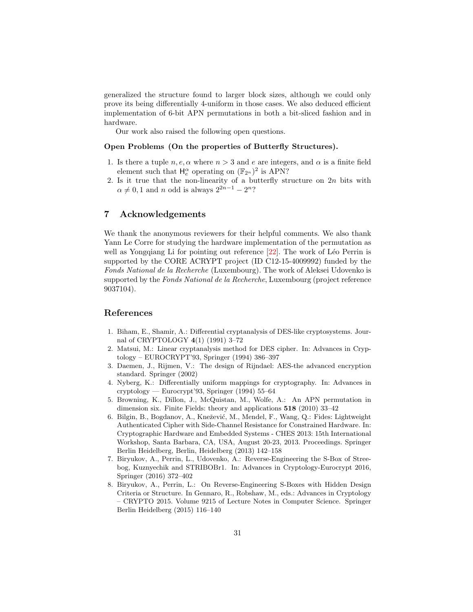generalized the structure found to larger block sizes, although we could only prove its being differentially 4-uniform in those cases. We also deduced efficient implementation of 6-bit APN permutations in both a bit-sliced fashion and in hardware.

Our work also raised the following open questions.

#### Open Problems (On the properties of Butterfly Structures).

- 1. Is there a tuple  $n, e, \alpha$  where  $n > 3$  and  $e$  are integers, and  $\alpha$  is a finite field element such that  $H_e^{\alpha}$  operating on  $(\mathbb{F}_{2^n})^2$  is APN?
- 2. Is it true that the non-linearity of a butterfly structure on  $2n$  bits with  $\alpha \neq 0, 1$  and *n* odd is always  $2^{2n-1} - 2^n$ ?

### 7 Acknowledgements

We thank the anonymous reviewers for their helpful comments. We also thank Yann Le Corre for studying the hardware implementation of the permutation as well as Yongqiang Li for pointing out reference  $[22]$ . The work of Léo Perrin is supported by the CORE ACRYPT project (ID C12-15-4009992) funded by the Fonds National de la Recherche (Luxembourg). The work of Aleksei Udovenko is supported by the Fonds National de la Recherche, Luxembourg (project reference 9037104).

### References

- <span id="page-30-0"></span>1. Biham, E., Shamir, A.: Differential cryptanalysis of DES-like cryptosystems. Journal of CRYPTOLOGY 4(1) (1991) 3–72
- <span id="page-30-1"></span>2. Matsui, M.: Linear cryptanalysis method for DES cipher. In: Advances in Cryptology – EUROCRYPT'93, Springer (1994) 386–397
- <span id="page-30-2"></span>3. Daemen, J., Rijmen, V.: The design of Rijndael: AES-the advanced encryption standard. Springer (2002)
- <span id="page-30-3"></span>4. Nyberg, K.: Differentially uniform mappings for cryptography. In: Advances in cryptology — Eurocrypt'93, Springer (1994) 55–64
- <span id="page-30-4"></span>5. Browning, K., Dillon, J., McQuistan, M., Wolfe, A.: An APN permutation in dimension six. Finite Fields: theory and applications 518 (2010) 33–42
- <span id="page-30-5"></span>6. Bilgin, B., Bogdanov, A., Knežević, M., Mendel, F., Wang, Q.: Fides: Lightweight Authenticated Cipher with Side-Channel Resistance for Constrained Hardware. In: Cryptographic Hardware and Embedded Systems - CHES 2013: 15th International Workshop, Santa Barbara, CA, USA, August 20-23, 2013. Proceedings. Springer Berlin Heidelberg, Berlin, Heidelberg (2013) 142–158
- <span id="page-30-6"></span>7. Biryukov, A., Perrin, L., Udovenko, A.: Reverse-Engineering the S-Box of Streebog, Kuznyechik and STRIBOBr1. In: Advances in Cryptology-Eurocrypt 2016, Springer (2016) 372–402
- <span id="page-30-7"></span>8. Biryukov, A., Perrin, L.: On Reverse-Engineering S-Boxes with Hidden Design Criteria or Structure. In Gennaro, R., Robshaw, M., eds.: Advances in Cryptology – CRYPTO 2015. Volume 9215 of Lecture Notes in Computer Science. Springer Berlin Heidelberg (2015) 116–140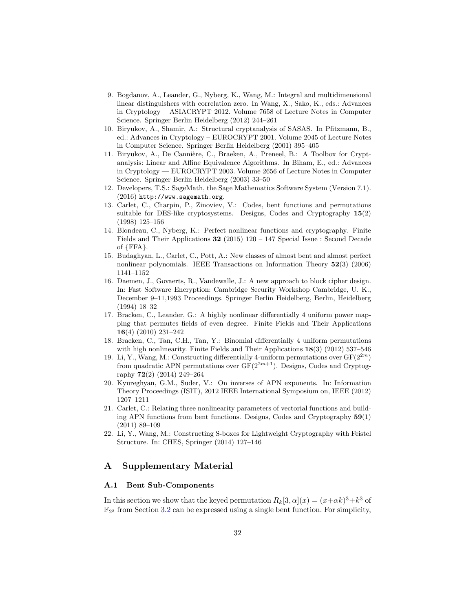- <span id="page-31-0"></span>9. Bogdanov, A., Leander, G., Nyberg, K., Wang, M.: Integral and multidimensional linear distinguishers with correlation zero. In Wang, X., Sako, K., eds.: Advances in Cryptology – ASIACRYPT 2012. Volume 7658 of Lecture Notes in Computer Science. Springer Berlin Heidelberg (2012) 244–261
- <span id="page-31-1"></span>10. Biryukov, A., Shamir, A.: Structural cryptanalysis of SASAS. In Pfitzmann, B., ed.: Advances in Cryptology – EUROCRYPT 2001. Volume 2045 of Lecture Notes in Computer Science. Springer Berlin Heidelberg (2001) 395–405
- <span id="page-31-2"></span>11. Biryukov, A., De Cannière, C., Braeken, A., Preneel, B.: A Toolbox for Cryptanalysis: Linear and Affine Equivalence Algorithms. In Biham, E., ed.: Advances in Cryptology — EUROCRYPT 2003. Volume 2656 of Lecture Notes in Computer Science. Springer Berlin Heidelberg (2003) 33–50
- <span id="page-31-3"></span>12. Developers, T.S.: SageMath, the Sage Mathematics Software System (Version 7.1). (2016) http://www.sagemath.org.
- <span id="page-31-5"></span>13. Carlet, C., Charpin, P., Zinoviev, V.: Codes, bent functions and permutations suitable for DES-like cryptosystems. Designs, Codes and Cryptography 15(2) (1998) 125–156
- <span id="page-31-6"></span>14. Blondeau, C., Nyberg, K.: Perfect nonlinear functions and cryptography. Finite Fields and Their Applications 32 (2015) 120 – 147 Special Issue : Second Decade of {FFA}.
- <span id="page-31-7"></span>15. Budaghyan, L., Carlet, C., Pott, A.: New classes of almost bent and almost perfect nonlinear polynomials. IEEE Transactions on Information Theory 52(3) (2006) 1141–1152
- <span id="page-31-8"></span>16. Daemen, J., Govaerts, R., Vandewalle, J.: A new approach to block cipher design. In: Fast Software Encryption: Cambridge Security Workshop Cambridge, U. K., December 9–11,1993 Proceedings. Springer Berlin Heidelberg, Berlin, Heidelberg (1994) 18–32
- <span id="page-31-9"></span>17. Bracken, C., Leander, G.: A highly nonlinear differentially 4 uniform power mapping that permutes fields of even degree. Finite Fields and Their Applications 16(4) (2010) 231–242
- <span id="page-31-10"></span>18. Bracken, C., Tan, C.H., Tan, Y.: Binomial differentially 4 uniform permutations with high nonlinearity. Finite Fields and Their Applications  $18(3)$  (2012) 537–546
- <span id="page-31-11"></span>19. Li, Y., Wang, M.: Constructing differentially 4-uniform permutations over  $GF(2^{2m})$ from quadratic APN permutations over  $GF(2^{2m+1})$ . Designs, Codes and Cryptography 72(2) (2014) 249–264
- <span id="page-31-12"></span>20. Kyureghyan, G.M., Suder, V.: On inverses of APN exponents. In: Information Theory Proceedings (ISIT), 2012 IEEE International Symposium on, IEEE (2012) 1207–1211
- <span id="page-31-13"></span>21. Carlet, C.: Relating three nonlinearity parameters of vectorial functions and building APN functions from bent functions. Designs, Codes and Cryptography 59(1) (2011) 89–109
- <span id="page-31-14"></span>22. Li, Y., Wang, M.: Constructing S-boxes for Lightweight Cryptography with Feistel Structure. In: CHES, Springer (2014) 127–146

### A Supplementary Material

#### <span id="page-31-4"></span>A.1 Bent Sub-Components

In this section we show that the keyed permutation  $R_k[3, \alpha](x) = (x+\alpha k)^3 + k^3$  of  $\mathbb{F}_{2^3}$  from Section [3.2](#page-12-0) can be expressed using a single bent function. For simplicity,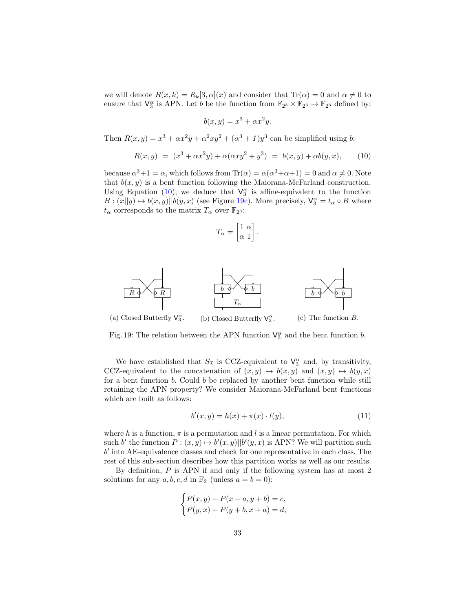we will denote  $R(x, k) = R_k[3, \alpha](x)$  and consider that  $\text{Tr}(\alpha) = 0$  and  $\alpha \neq 0$  to ensure that  $\mathsf{V}_3^{\alpha}$  is APN. Let *b* be the function from  $\mathbb{F}_{2^3} \times \mathbb{F}_{2^3} \to \mathbb{F}_{2^3}$  defined by:

$$
b(x, y) = x^3 + \alpha x^2 y.
$$

Then  $R(x, y) = x^3 + \alpha x^2 y + \alpha^2 xy^2 + (\alpha^3 + 1) y^3$  can be simplified using b:

<span id="page-32-0"></span>
$$
R(x,y) = (x^3 + \alpha x^2 y) + \alpha(\alpha x y^2 + y^3) = b(x,y) + \alpha b(y,x), \quad (10)
$$

because  $\alpha^3 + 1 = \alpha$ , which follows from  $\text{Tr}(\alpha) = \alpha(\alpha^3 + \alpha + 1) = 0$  and  $\alpha \neq 0$ . Note that  $b(x, y)$  is a bent function following the Maiorana-McFarland construction. Using Equation [\(10\)](#page-32-0), we deduce that  $\mathsf{V}_3^{\alpha}$  is affine-equivalent to the function  $B: (x||y) \mapsto b(x, y)||b(y, x)$  (see Figure [19c\)](#page-32-1). More precisely,  $\mathsf{V}_3^{\alpha} = t_{\alpha} \circ B$  where  $t_{\alpha}$  corresponds to the matrix  $T_{\alpha}$  over  $\mathbb{F}_{2^3}$ :

$$
T_{\alpha} = \begin{bmatrix} 1 & \alpha \\ \alpha & 1 \end{bmatrix}.
$$

<span id="page-32-1"></span>

Fig. 19: The relation between the APN function  $\mathsf{V}^\alpha_3$  and the bent function b.

We have established that  $S_{\mathcal{I}}$  is CCZ-equivalent to  $\mathsf{V}_{3}^{\alpha}$  and, by transitivity, CCZ-equivalent to the concatenation of  $(x, y) \mapsto b(x, y)$  and  $(x, y) \mapsto b(y, x)$ for a bent function  $b$ . Could  $b$  be replaced by another bent function while still retaining the APN property? We consider Maiorana-McFarland bent functions which are built as follows:

<span id="page-32-2"></span>
$$
b'(x, y) = h(x) + \pi(x) \cdot l(y), \tag{11}
$$

where h is a function,  $\pi$  is a permutation and l is a linear permutation. For which such b' the function  $P: (x, y) \mapsto b'(x, y) || b'(y, x)$  is APN? We will partition such  $b'$  into AE-equivalence classes and check for one representative in each class. The rest of this sub-section describes how this partition works as well as our results.

By definition,  $P$  is APN if and only if the following system has at most  $2$ solutions for any  $a, b, c, d$  in  $\mathbb{F}_2$  (unless  $a = b = 0$ ):

$$
\begin{cases} P(x,y) + P(x+a, y+b) = c, \\ P(y,x) + P(y+b, x+a) = d, \end{cases}
$$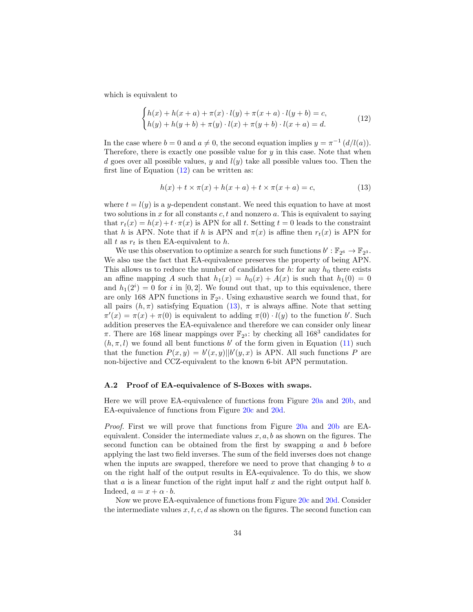which is equivalent to

<span id="page-33-1"></span>
$$
\begin{cases} h(x) + h(x+a) + \pi(x) \cdot l(y) + \pi(x+a) \cdot l(y+b) = c, \\ h(y) + h(y+b) + \pi(y) \cdot l(x) + \pi(y+b) \cdot l(x+a) = d. \end{cases}
$$
 (12)

In the case where  $b = 0$  and  $a \neq 0$ , the second equation implies  $y = \pi^{-1} (d/l(a))$ . Therefore, there is exactly one possible value for  $y$  in this case. Note that when d goes over all possible values,  $y$  and  $l(y)$  take all possible values too. Then the first line of Equation  $(12)$  can be written as:

<span id="page-33-2"></span>
$$
h(x) + t \times \pi(x) + h(x + a) + t \times \pi(x + a) = c,
$$
\n(13)

where  $t = l(y)$  is a y-dependent constant. We need this equation to have at most two solutions in x for all constants  $c, t$  and nonzero  $a$ . This is equivalent to saying that  $r_t(x) = h(x) + t \cdot \pi(x)$  is APN for all t. Setting  $t = 0$  leads to the constraint that h is APN. Note that if h is APN and  $\pi(x)$  is affine then  $r_t(x)$  is APN for all  $t$  as  $r_t$  is then EA-equivalent to  $h$ .

We use this observation to optimize a search for such functions  $b' : \mathbb{F}_{2^6} \to \mathbb{F}_{2^3}$ . We also use the fact that EA-equivalence preserves the property of being APN. This allows us to reduce the number of candidates for  $h$ : for any  $h_0$  there exists an affine mapping A such that  $h_1(x) = h_0(x) + A(x)$  is such that  $h_1(0) = 0$ and  $h_1(2^i) = 0$  for i in [0, 2]. We found out that, up to this equivalence, there are only 168 APN functions in  $\mathbb{F}_{2^3}$ . Using exhaustive search we found that, for all pairs  $(h, \pi)$  satisfying Equation [\(13\)](#page-33-2),  $\pi$  is always affine. Note that setting  $\pi'(x) = \pi(x) + \pi(0)$  is equivalent to adding  $\pi(0) \cdot l(y)$  to the function b'. Such addition preserves the EA-equivalence and therefore we can consider only linear  $\pi$ . There are 168 linear mappings over  $\mathbb{F}_{2^3}$ : by checking all 168<sup>3</sup> candidates for  $(h, \pi, l)$  we found all bent functions b' of the form given in Equation [\(11\)](#page-32-2) such that the function  $P(x, y) = b'(x, y)||b'(y, x)$  is APN. All such functions P are non-bijective and CCZ-equivalent to the known 6-bit APN permutation.

#### <span id="page-33-0"></span>A.2 Proof of EA-equivalence of S-Boxes with swaps.

Here we will prove EA-equivalence of functions from Figure [20a](#page-34-1) and [20b,](#page-34-1) and EA-equivalence of functions from Figure [20c](#page-34-1) and [20d.](#page-34-1)

Proof. First we will prove that functions from Figure [20a](#page-34-1) and [20b](#page-34-1) are EAequivalent. Consider the intermediate values  $x, a, b$  as shown on the figures. The second function can be obtained from the first by swapping  $a$  and  $b$  before applying the last two field inverses. The sum of the field inverses does not change when the inputs are swapped, therefore we need to prove that changing  $b$  to  $a$ on the right half of the output results in EA-equivalence. To do this, we show that  $a$  is a linear function of the right input half  $x$  and the right output half  $b$ . Indeed,  $a = x + \alpha \cdot b$ .

Now we prove EA-equivalence of functions from Figure [20c](#page-34-1) and [20d.](#page-34-1) Consider the intermediate values  $x, t, c, d$  as shown on the figures. The second function can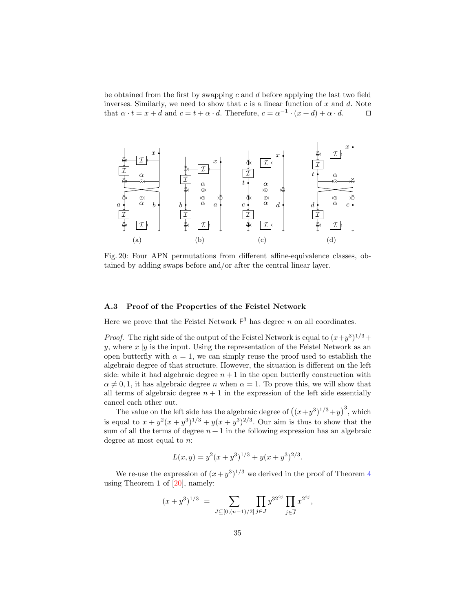be obtained from the first by swapping  $c$  and  $d$  before applying the last two field inverses. Similarly, we need to show that  $c$  is a linear function of  $x$  and  $d$ . Note that  $\alpha \cdot t = x + d$  and  $c = t + \alpha \cdot d$ . Therefore,  $c = \alpha^{-1} \cdot (x + d) + \alpha \cdot d$ .  $\Box$ 

<span id="page-34-1"></span>

Fig. 20: Four APN permutations from different affine-equivalence classes, obtained by adding swaps before and/or after the central linear layer.

### <span id="page-34-0"></span>A.3 Proof of the Properties of the Feistel Network

Here we prove that the Feistel Network  $F^3$  has degree n on all coordinates.

*Proof.* The right side of the output of the Feistel Network is equal to  $(x+y^3)^{1/3}$ + y, where  $x||y$  is the input. Using the representation of the Feistel Network as an open butterfly with  $\alpha = 1$ , we can simply reuse the proof used to establish the algebraic degree of that structure. However, the situation is different on the left side: while it had algebraic degree  $n+1$  in the open butterfly construction with  $\alpha \neq 0, 1$ , it has algebraic degree *n* when  $\alpha = 1$ . To prove this, we will show that all terms of algebraic degree  $n + 1$  in the expression of the left side essentially cancel each other out.

The value on the left side has the algebraic degree of  $((x+y^3)^{1/3}+y)^3$ , which is equal to  $x + y^2(x + y^3)^{1/3} + y(x + y^3)^{2/3}$ . Our aim is thus to show that the sum of all the terms of degree  $n+1$  in the following expression has an algebraic degree at most equal to  $n$ :

$$
L(x, y) = y^2(x + y^3)^{1/3} + y(x + y^3)^{2/3}.
$$

We re-use the expression of  $(x+y^3)^{1/3}$  we derived in the proof of Theorem [4](#page-23-1) using Theorem 1 of [\[20\]](#page-31-12), namely:

$$
(x+y^3)^{1/3} = \sum_{J \subseteq [0,(n-1)/2]} \prod_{j \in J} y^{32^{2j}} \prod_{j \in \overline{J}} x^{2^{2j}},
$$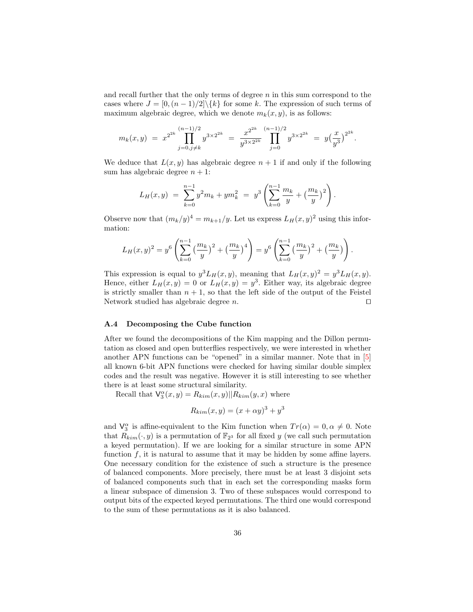and recall further that the only terms of degree  $n$  in this sum correspond to the cases where  $J = [0, (n-1)/2] \setminus \{k\}$  for some k. The expression of such terms of maximum algebraic degree, which we denote  $m_k(x, y)$ , is as follows:

$$
m_k(x,y) = x^{2^{2k}} \prod_{j=0,j\neq k}^{(n-1)/2} y^{3 \times 2^{2k}} = \frac{x^{2^{2k}}}{y^{3 \times 2^{2k}}} \prod_{j=0}^{(n-1)/2} y^{3 \times 2^{2k}} = y \left(\frac{x}{y^3}\right)^{2^{2k}}
$$

.

We deduce that  $L(x, y)$  has algebraic degree  $n + 1$  if and only if the following sum has algebraic degree  $n + 1$ :

$$
L_H(x,y) = \sum_{k=0}^{n-1} y^2 m_k + y m_k^2 = y^3 \left( \sum_{k=0}^{n-1} \frac{m_k}{y} + \left( \frac{m_k}{y} \right)^2 \right).
$$

Observe now that  $(m_k/y)^4 = m_{k+1}/y$ . Let us express  $L_H(x, y)^2$  using this information:

$$
L_H(x,y)^2 = y^6 \left( \sum_{k=0}^{n-1} \left( \frac{m_k}{y} \right)^2 + \left( \frac{m_k}{y} \right)^4 \right) = y^6 \left( \sum_{k=0}^{n-1} \left( \frac{m_k}{y} \right)^2 + \left( \frac{m_k}{y} \right) \right).
$$

This expression is equal to  $y^3 L_H(x, y)$ , meaning that  $L_H(x, y)^2 = y^3 L_H(x, y)$ . Hence, either  $L_H(x, y) = 0$  or  $L_H(x, y) = y^3$ . Either way, its algebraic degree is strictly smaller than  $n + 1$ , so that the left side of the output of the Feistel Network studied has algebraic degree  $n$ . □

#### <span id="page-35-0"></span>A.4 Decomposing the Cube function

After we found the decompositions of the Kim mapping and the Dillon permutation as closed and open butterflies respectively, we were interested in whether another APN functions can be "opened" in a similar manner. Note that in [\[5\]](#page-30-4) all known 6-bit APN functions were checked for having similar double simplex codes and the result was negative. However it is still interesting to see whether there is at least some structural similarity.

Recall that  $\mathsf{V}_3^{\alpha}(x, y) = R_{kim}(x, y) || R_{kim}(y, x)$  where

$$
R_{kim}(x, y) = (x + \alpha y)^3 + y^3
$$

and  $\mathsf{V}_{3}^{\alpha}$  is affine-equivalent to the Kim function when  $Tr(\alpha) = 0, \alpha \neq 0$ . Note that  $\tilde{R}_{kim}(\cdot, y)$  is a permutation of  $\mathbb{F}_{2^3}$  for all fixed y (we call such permutation a keyed permutation). If we are looking for a similar structure in some APN function  $f$ , it is natural to assume that it may be hidden by some affine layers. One necessary condition for the existence of such a structure is the presence of balanced components. More precisely, there must be at least 3 disjoint sets of balanced components such that in each set the corresponding masks form a linear subspace of dimension 3. Two of these subspaces would correspond to output bits of the expected keyed permutations. The third one would correspond to the sum of these permutations as it is also balanced.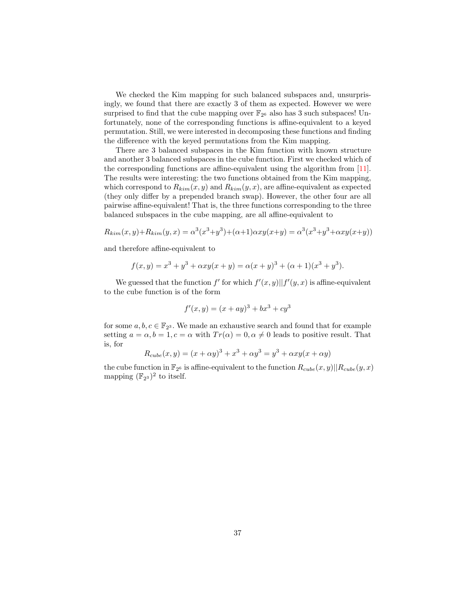We checked the Kim mapping for such balanced subspaces and, unsurprisingly, we found that there are exactly 3 of them as expected. However we were surprised to find that the cube mapping over  $\mathbb{F}_{2^6}$  also has 3 such subspaces! Unfortunately, none of the corresponding functions is affine-equivalent to a keyed permutation. Still, we were interested in decomposing these functions and finding the difference with the keyed permutations from the Kim mapping.

There are 3 balanced subspaces in the Kim function with known structure and another 3 balanced subspaces in the cube function. First we checked which of the corresponding functions are affine-equivalent using the algorithm from [\[11\]](#page-31-2). The results were interesting: the two functions obtained from the Kim mapping, which correspond to  $R_{\text{kim}}(x, y)$  and  $R_{\text{kim}}(y, x)$ , are affine-equivalent as expected (they only differ by a prepended branch swap). However, the other four are all pairwise affine-equivalent! That is, the three functions corresponding to the three balanced subspaces in the cube mapping, are all affine-equivalent to

$$
R_{kim}(x, y) + R_{kim}(y, x) = \alpha^3 (x^3 + y^3) + (\alpha + 1)\alpha xy(x + y) = \alpha^3 (x^3 + y^3 + \alpha xy(x + y))
$$

and therefore affine-equivalent to

$$
f(x,y) = x3 + y3 + \alpha xy(x + y) = \alpha(x + y)3 + (\alpha + 1)(x3 + y3).
$$

We guessed that the function  $f'$  for which  $f'(x, y) || f'(y, x)$  is affine-equivalent to the cube function is of the form

$$
f'(x, y) = (x + ay)^3 + bx^3 + cy^3
$$

for some  $a, b, c \in \mathbb{F}_{2^3}$ . We made an exhaustive search and found that for example setting  $a = \alpha, b = 1, c = \alpha$  with  $Tr(\alpha) = 0, \alpha \neq 0$  leads to positive result. That is, for

$$
R_{cube}(x, y) = (x + \alpha y)^3 + x^3 + \alpha y^3 = y^3 + \alpha xy(x + \alpha y)
$$

the cube function in  $\mathbb{F}_{2^6}$  is affine-equivalent to the function  $R_{cube}(x, y)||R_{cube}(y, x)$ mapping  $(\mathbb{F}_{2^3})^2$  to itself.